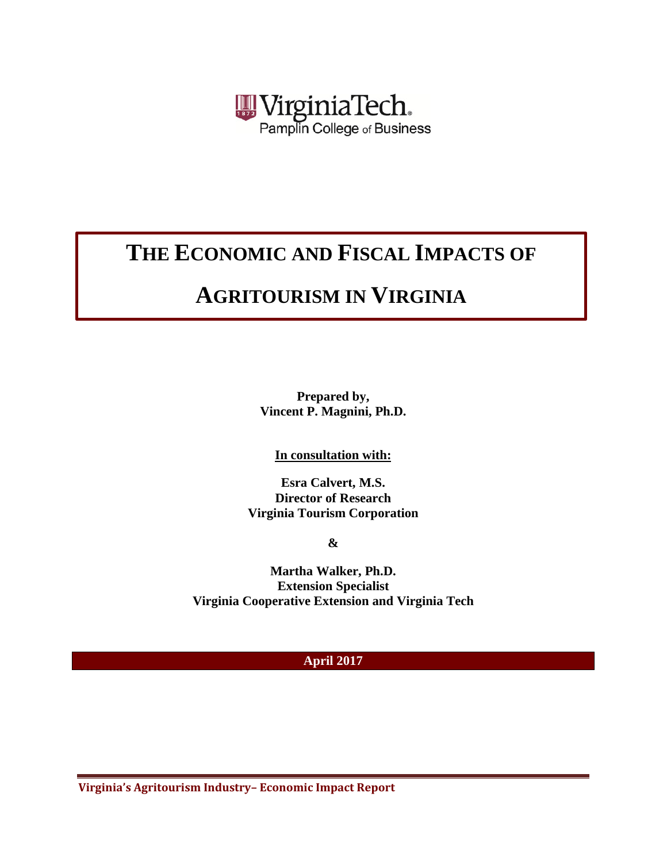

# **THE ECONOMIC AND FISCAL IMPACTS OF**

# **AGRITOURISM IN VIRGINIA**

**Prepared by, Vincent P. Magnini, Ph.D.**

**In consultation with:**

**Esra Calvert, M.S. Director of Research Virginia Tourism Corporation**

**&**

**Martha Walker, Ph.D. Extension Specialist Virginia Cooperative Extension and Virginia Tech**

#### **April 2017**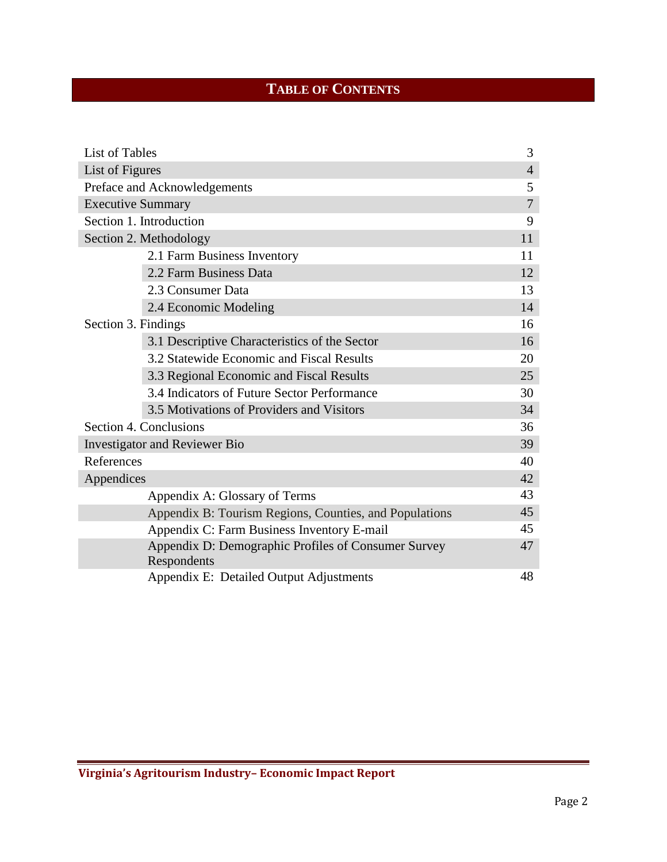# **TABLE OF CONTENTS**

| List of Tables           |                                                                    | 3              |
|--------------------------|--------------------------------------------------------------------|----------------|
| List of Figures          |                                                                    | $\overline{4}$ |
|                          | Preface and Acknowledgements                                       | 5              |
| <b>Executive Summary</b> |                                                                    | $\overline{7}$ |
|                          | Section 1. Introduction                                            | 9              |
| Section 2. Methodology   |                                                                    |                |
|                          | 2.1 Farm Business Inventory                                        | 11             |
|                          | 2.2 Farm Business Data                                             | 12             |
|                          | 2.3 Consumer Data                                                  | 13             |
|                          | 2.4 Economic Modeling                                              | 14             |
| Section 3. Findings      |                                                                    | 16             |
|                          | 3.1 Descriptive Characteristics of the Sector                      | 16             |
|                          | 3.2 Statewide Economic and Fiscal Results                          | 20             |
|                          | 3.3 Regional Economic and Fiscal Results                           | 25             |
|                          | 3.4 Indicators of Future Sector Performance                        | 30             |
|                          | 3.5 Motivations of Providers and Visitors                          | 34             |
|                          | Section 4. Conclusions                                             | 36             |
|                          | <b>Investigator and Reviewer Bio</b>                               | 39             |
| References               |                                                                    | 40             |
| Appendices               |                                                                    | 42             |
|                          | Appendix A: Glossary of Terms                                      | 43             |
|                          | Appendix B: Tourism Regions, Counties, and Populations             | 45             |
|                          | Appendix C: Farm Business Inventory E-mail                         | 45             |
|                          | Appendix D: Demographic Profiles of Consumer Survey<br>Respondents | 47             |
|                          | Appendix E: Detailed Output Adjustments                            | 48             |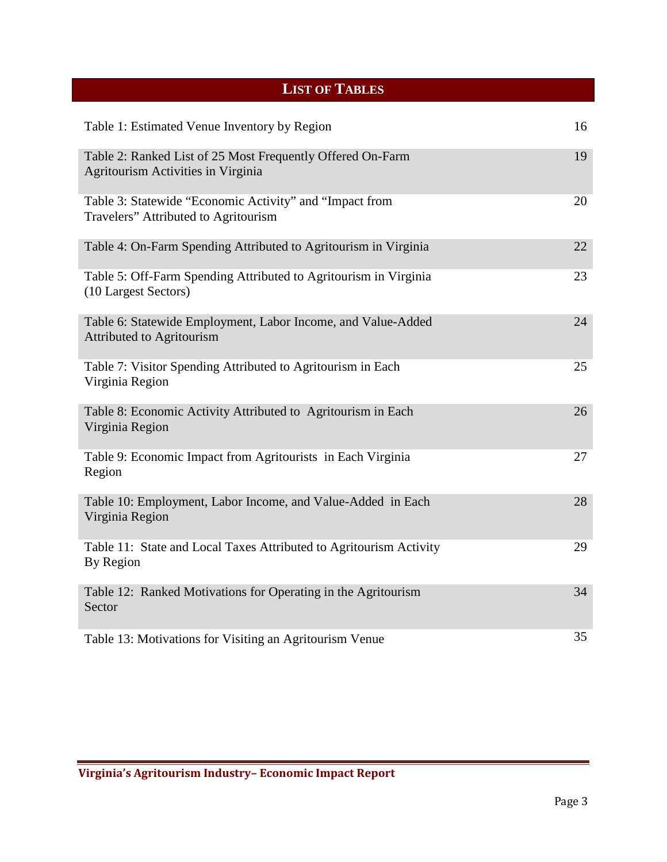<span id="page-2-0"></span>

| <b>LIST OF TABLES</b>                                                                            |    |
|--------------------------------------------------------------------------------------------------|----|
| Table 1: Estimated Venue Inventory by Region                                                     | 16 |
| Table 2: Ranked List of 25 Most Frequently Offered On-Farm<br>Agritourism Activities in Virginia | 19 |
| Table 3: Statewide "Economic Activity" and "Impact from<br>Travelers" Attributed to Agritourism  | 20 |
| Table 4: On-Farm Spending Attributed to Agritourism in Virginia                                  | 22 |
| Table 5: Off-Farm Spending Attributed to Agritourism in Virginia<br>(10 Largest Sectors)         | 23 |
| Table 6: Statewide Employment, Labor Income, and Value-Added<br><b>Attributed to Agritourism</b> | 24 |
| Table 7: Visitor Spending Attributed to Agritourism in Each<br>Virginia Region                   | 25 |
| Table 8: Economic Activity Attributed to Agritourism in Each<br>Virginia Region                  | 26 |
| Table 9: Economic Impact from Agritourists in Each Virginia<br>Region                            | 27 |
| Table 10: Employment, Labor Income, and Value-Added in Each<br>Virginia Region                   | 28 |
| Table 11: State and Local Taxes Attributed to Agritourism Activity<br>By Region                  | 29 |
| Table 12: Ranked Motivations for Operating in the Agritourism<br>Sector                          | 34 |
| Table 13: Motivations for Visiting an Agritourism Venue                                          | 35 |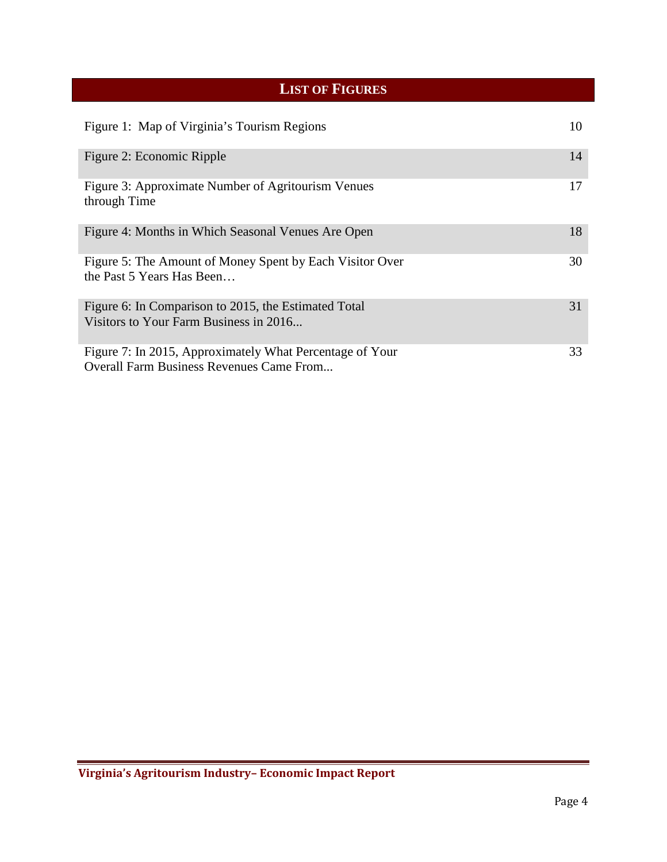# **LIST OF FIGURES**

<span id="page-3-0"></span>

| Figure 1: Map of Virginia's Tourism Regions                                                                 | 10 |
|-------------------------------------------------------------------------------------------------------------|----|
| Figure 2: Economic Ripple                                                                                   | 14 |
| Figure 3: Approximate Number of Agritourism Venues<br>through Time                                          | 17 |
| Figure 4: Months in Which Seasonal Venues Are Open                                                          | 18 |
| Figure 5: The Amount of Money Spent by Each Visitor Over<br>the Past 5 Years Has Been                       | 30 |
| Figure 6: In Comparison to 2015, the Estimated Total<br>Visitors to Your Farm Business in 2016              | 31 |
| Figure 7: In 2015, Approximately What Percentage of Your<br><b>Overall Farm Business Revenues Came From</b> | 33 |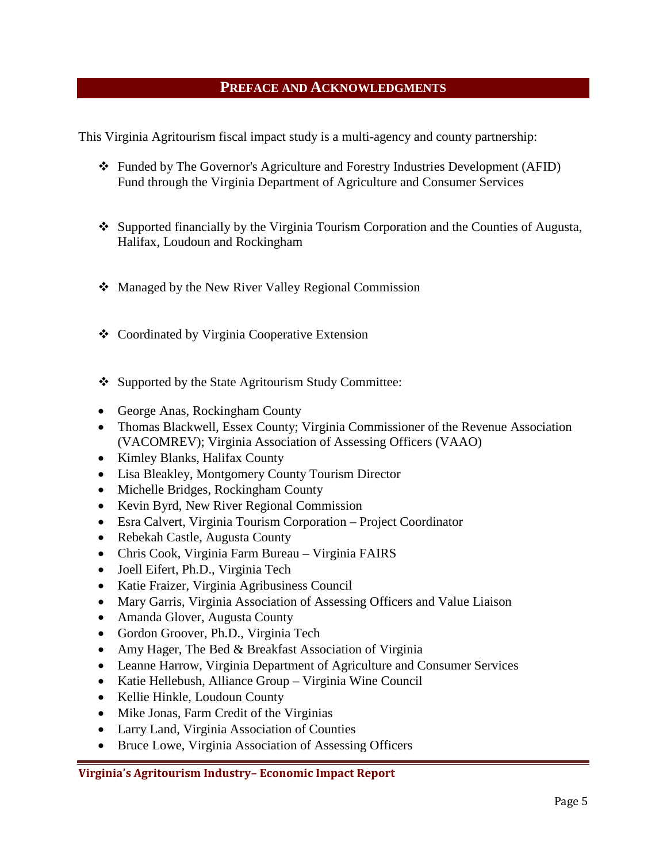#### **PREFACE AND ACKNOWLEDGMENTS**

<span id="page-4-0"></span>This Virginia Agritourism fiscal impact study is a multi-agency and county partnership:

- Funded by The Governor's Agriculture and Forestry Industries Development (AFID) Fund through the Virginia Department of Agriculture and Consumer Services
- Supported financially by the Virginia Tourism Corporation and the Counties of Augusta, Halifax, Loudoun and Rockingham
- Managed by the New River Valley Regional Commission
- Coordinated by Virginia Cooperative Extension
- ❖ Supported by the State Agritourism Study Committee:
- George Anas, Rockingham County
- Thomas Blackwell, Essex County; Virginia Commissioner of the Revenue Association (VACOMREV); Virginia Association of Assessing Officers (VAAO)
- Kimley Blanks, Halifax County
- Lisa Bleakley, Montgomery County Tourism Director
- Michelle Bridges, Rockingham County
- Kevin Byrd, New River Regional Commission
- Esra Calvert, Virginia Tourism Corporation Project Coordinator
- Rebekah Castle, Augusta County
- Chris Cook, Virginia Farm Bureau Virginia FAIRS
- Joell Eifert, Ph.D., Virginia Tech
- Katie Fraizer, Virginia Agribusiness Council
- Mary Garris, Virginia Association of Assessing Officers and Value Liaison
- Amanda Glover, Augusta County
- Gordon Groover, Ph.D., Virginia Tech
- Amy Hager, The Bed & Breakfast Association of Virginia
- Leanne Harrow, Virginia Department of Agriculture and Consumer Services
- Katie Hellebush, Alliance Group Virginia Wine Council
- Kellie Hinkle, Loudoun County
- Mike Jonas, Farm Credit of the Virginias
- Larry Land, Virginia Association of Counties
- Bruce Lowe, Virginia Association of Assessing Officers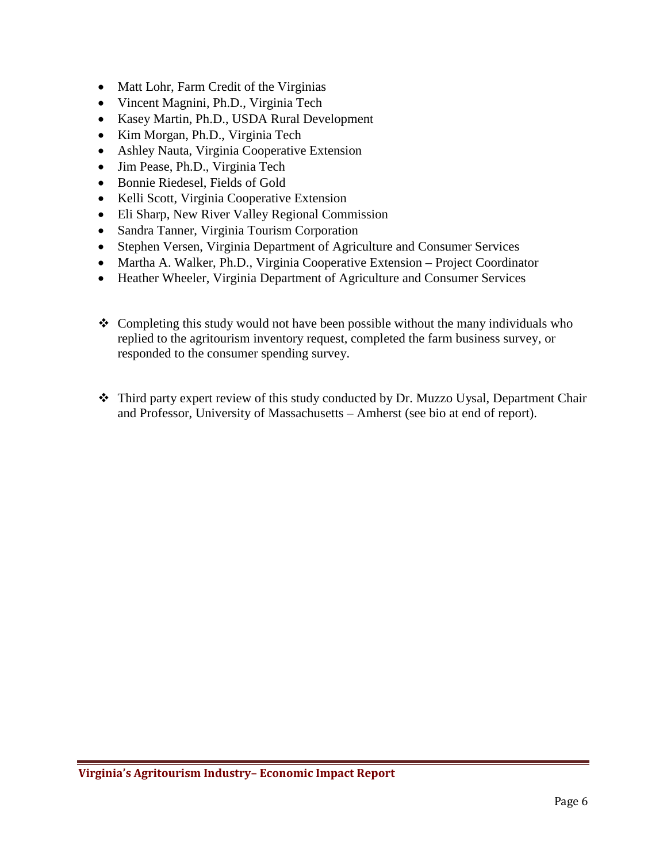- Matt Lohr, Farm Credit of the Virginias
- Vincent Magnini, Ph.D., Virginia Tech
- Kasey Martin, Ph.D., USDA Rural Development
- Kim Morgan, Ph.D., Virginia Tech
- Ashley Nauta, Virginia Cooperative Extension
- Jim Pease, Ph.D., Virginia Tech
- Bonnie Riedesel, Fields of Gold
- Kelli Scott, Virginia Cooperative Extension
- Eli Sharp, New River Valley Regional Commission
- Sandra Tanner, Virginia Tourism Corporation
- Stephen Versen, Virginia Department of Agriculture and Consumer Services
- Martha A. Walker, Ph.D., Virginia Cooperative Extension Project Coordinator
- Heather Wheeler, Virginia Department of Agriculture and Consumer Services
- $\triangle$  Completing this study would not have been possible without the many individuals who replied to the agritourism inventory request, completed the farm business survey, or responded to the consumer spending survey.
- \* Third party expert review of this study conducted by Dr. Muzzo Uysal, Department Chair and Professor, University of Massachusetts – Amherst (see bio at end of report).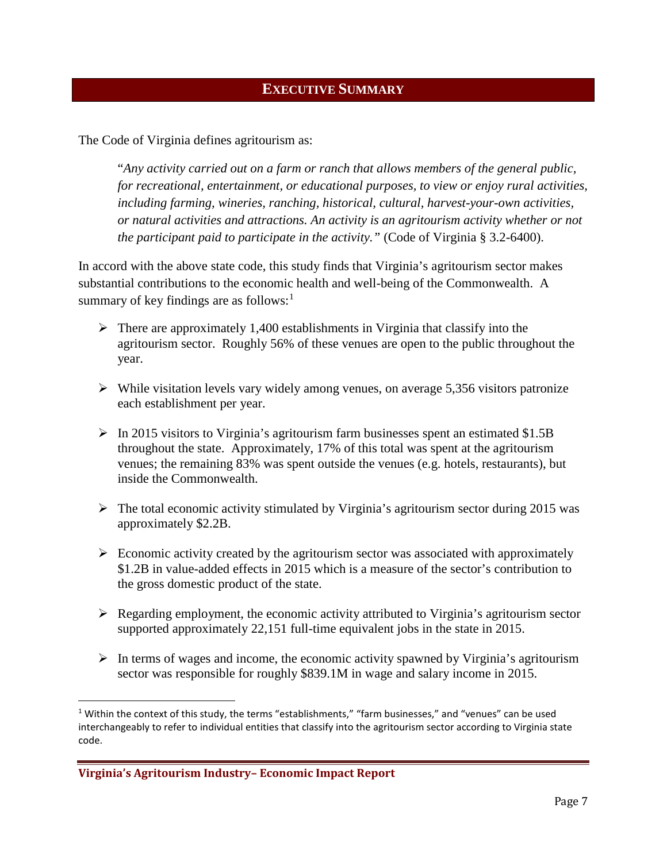#### **EXECUTIVE SUMMARY**

<span id="page-6-0"></span>The Code of Virginia defines agritourism as:

"*Any activity carried out on a farm or ranch that allows members of the general public, for recreational, entertainment, or educational purposes, to view or enjoy rural activities, including farming, wineries, ranching, historical, cultural, harvest-your-own activities, or natural activities and attractions. An activity is an agritourism activity whether or not the participant paid to participate in the activity."* (Code of Virginia § 3.2-6400).

In accord with the above state code, this study finds that Virginia's agritourism sector makes substantial contributions to the economic health and well-being of the Commonwealth. A summary of key findings are as follows: $<sup>1</sup>$  $<sup>1</sup>$  $<sup>1</sup>$ </sup>

- $\triangleright$  There are approximately 1,400 establishments in Virginia that classify into the agritourism sector. Roughly 56% of these venues are open to the public throughout the year.
- $\triangleright$  While visitation levels vary widely among venues, on average 5,356 visitors patronize each establishment per year.
- $\triangleright$  In 2015 visitors to Virginia's agritourism farm businesses spent an estimated \$1.5B throughout the state. Approximately, 17% of this total was spent at the agritourism venues; the remaining 83% was spent outside the venues (e.g. hotels, restaurants), but inside the Commonwealth.
- $\triangleright$  The total economic activity stimulated by Virginia's agritourism sector during 2015 was approximately \$2.2B.
- $\triangleright$  Economic activity created by the agritourism sector was associated with approximately \$1.2B in value-added effects in 2015 which is a measure of the sector's contribution to the gross domestic product of the state.
- $\triangleright$  Regarding employment, the economic activity attributed to Virginia's agritourism sector supported approximately 22,151 full-time equivalent jobs in the state in 2015.
- $\triangleright$  In terms of wages and income, the economic activity spawned by Virginia's agritourism sector was responsible for roughly \$839.1M in wage and salary income in 2015.

<span id="page-6-1"></span><sup>&</sup>lt;sup>1</sup> Within the context of this study, the terms "establishments," "farm businesses," and "venues" can be used interchangeably to refer to individual entities that classify into the agritourism sector according to Virginia state code.

**Virginia's Agritourism Industry– Economic Impact Report**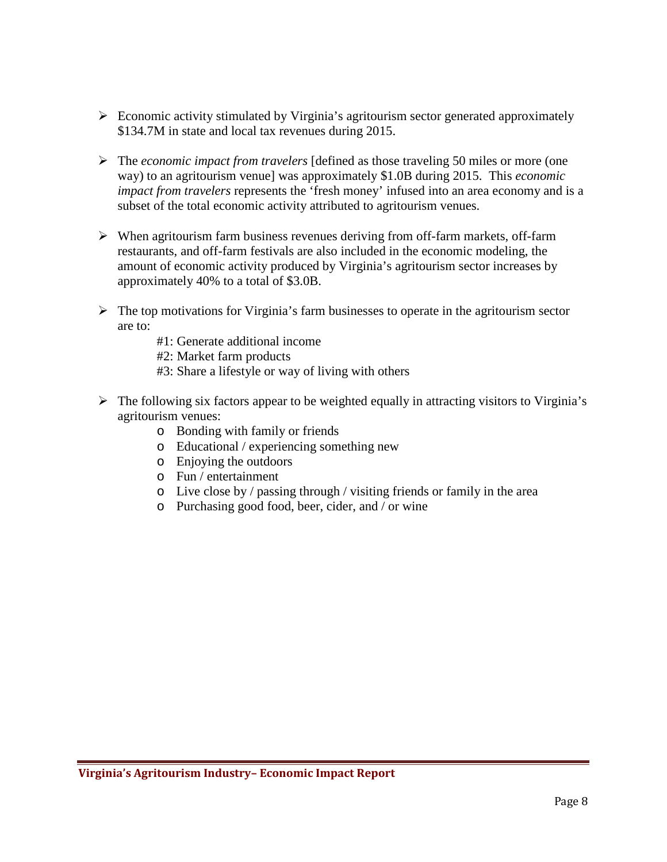- $\triangleright$  Economic activity stimulated by Virginia's agritourism sector generated approximately \$134.7M in state and local tax revenues during 2015.
- The *economic impact from travelers* [defined as those traveling 50 miles or more (one way) to an agritourism venue] was approximately \$1.0B during 2015. This *economic impact from travelers* represents the 'fresh money' infused into an area economy and is a subset of the total economic activity attributed to agritourism venues.
- $\triangleright$  When agritourism farm business revenues deriving from off-farm markets, off-farm restaurants, and off-farm festivals are also included in the economic modeling, the amount of economic activity produced by Virginia's agritourism sector increases by approximately 40% to a total of \$3.0B.
- $\triangleright$  The top motivations for Virginia's farm businesses to operate in the agritourism sector are to:
	- #1: Generate additional income

#2: Market farm products

- #3: Share a lifestyle or way of living with others
- $\triangleright$  The following six factors appear to be weighted equally in attracting visitors to Virginia's agritourism venues:
	- o Bonding with family or friends
	- o Educational / experiencing something new
	- o Enjoying the outdoors
	- o Fun / entertainment
	- o Live close by / passing through / visiting friends or family in the area
	- o Purchasing good food, beer, cider, and / or wine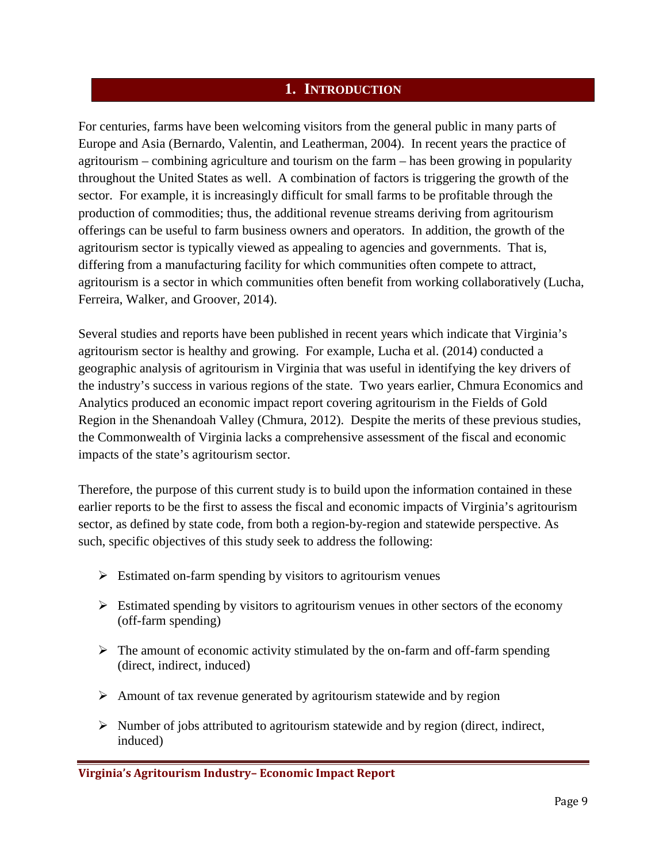#### **1. INTRODUCTION**

<span id="page-8-0"></span>For centuries, farms have been welcoming visitors from the general public in many parts of Europe and Asia (Bernardo, Valentin, and Leatherman, 2004). In recent years the practice of agritourism – combining agriculture and tourism on the farm – has been growing in popularity throughout the United States as well. A combination of factors is triggering the growth of the sector. For example, it is increasingly difficult for small farms to be profitable through the production of commodities; thus, the additional revenue streams deriving from agritourism offerings can be useful to farm business owners and operators. In addition, the growth of the agritourism sector is typically viewed as appealing to agencies and governments. That is, differing from a manufacturing facility for which communities often compete to attract, agritourism is a sector in which communities often benefit from working collaboratively (Lucha, Ferreira, Walker, and Groover, 2014).

Several studies and reports have been published in recent years which indicate that Virginia's agritourism sector is healthy and growing. For example, Lucha et al. (2014) conducted a geographic analysis of agritourism in Virginia that was useful in identifying the key drivers of the industry's success in various regions of the state. Two years earlier, Chmura Economics and Analytics produced an economic impact report covering agritourism in the Fields of Gold Region in the Shenandoah Valley (Chmura, 2012). Despite the merits of these previous studies, the Commonwealth of Virginia lacks a comprehensive assessment of the fiscal and economic impacts of the state's agritourism sector.

Therefore, the purpose of this current study is to build upon the information contained in these earlier reports to be the first to assess the fiscal and economic impacts of Virginia's agritourism sector, as defined by state code, from both a region-by-region and statewide perspective. As such, specific objectives of this study seek to address the following:

- $\triangleright$  Estimated on-farm spending by visitors to agritourism venues
- $\triangleright$  Estimated spending by visitors to agritourism venues in other sectors of the economy (off-farm spending)
- $\triangleright$  The amount of economic activity stimulated by the on-farm and off-farm spending (direct, indirect, induced)
- $\triangleright$  Amount of tax revenue generated by agritourism statewide and by region
- $\triangleright$  Number of jobs attributed to agritourism statewide and by region (direct, indirect, induced)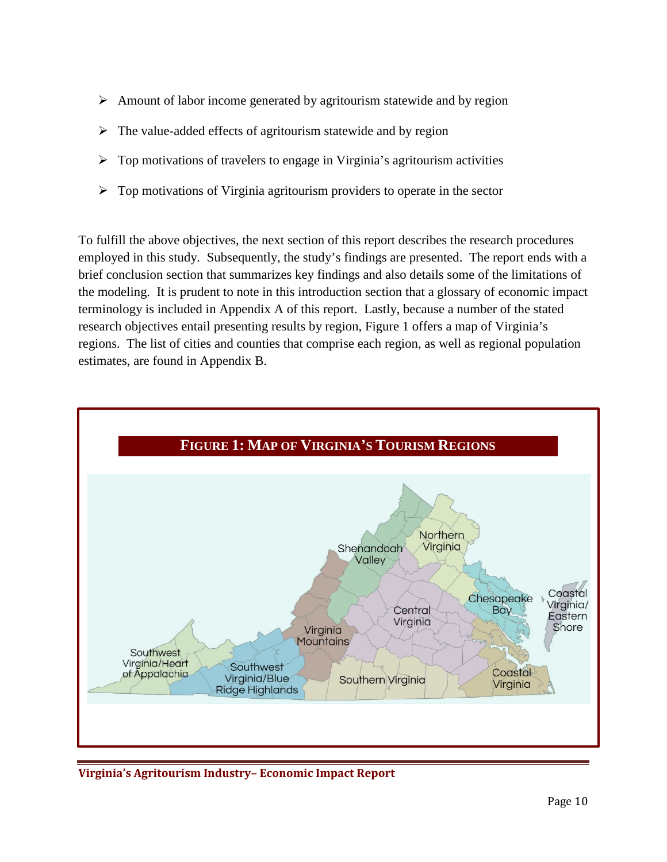- $\triangleright$  Amount of labor income generated by agritourism statewide and by region
- $\triangleright$  The value-added effects of agritourism statewide and by region
- $\triangleright$  Top motivations of travelers to engage in Virginia's agritourism activities
- $\triangleright$  Top motivations of Virginia agritourism providers to operate in the sector

To fulfill the above objectives, the next section of this report describes the research procedures employed in this study. Subsequently, the study's findings are presented. The report ends with a brief conclusion section that summarizes key findings and also details some of the limitations of the modeling. It is prudent to note in this introduction section that a glossary of economic impact terminology is included in Appendix A of this report. Lastly, because a number of the stated research objectives entail presenting results by region, Figure 1 offers a map of Virginia's regions. The list of cities and counties that comprise each region, as well as regional population estimates, are found in Appendix B.



**Virginia's Agritourism Industry– Economic Impact Report**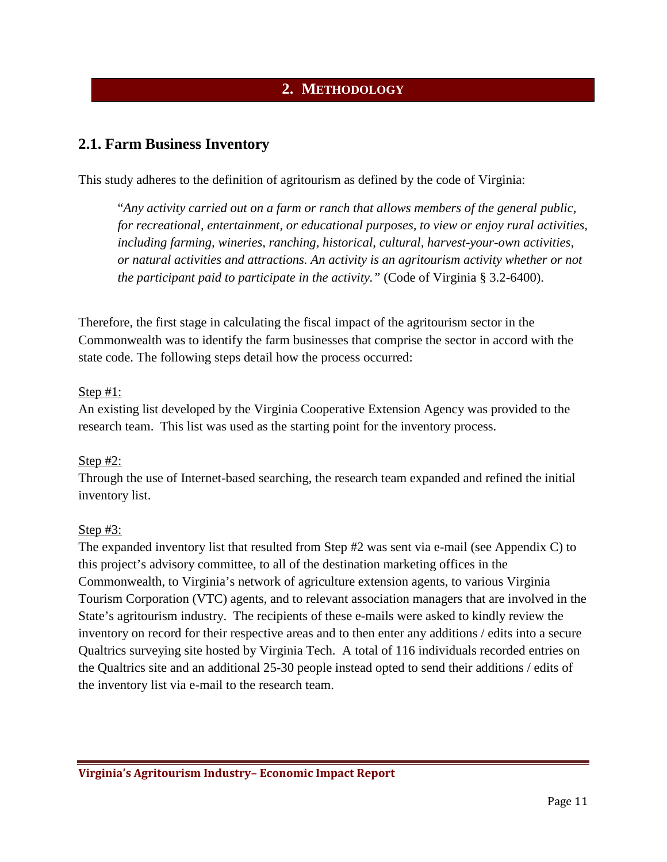# **2. METHODOLOGY**

## <span id="page-10-1"></span><span id="page-10-0"></span>**2.1. Farm Business Inventory**

This study adheres to the definition of agritourism as defined by the code of Virginia:

"*Any activity carried out on a farm or ranch that allows members of the general public, for recreational, entertainment, or educational purposes, to view or enjoy rural activities, including farming, wineries, ranching, historical, cultural, harvest-your-own activities, or natural activities and attractions. An activity is an agritourism activity whether or not the participant paid to participate in the activity."* (Code of Virginia § 3.2-6400).

Therefore, the first stage in calculating the fiscal impact of the agritourism sector in the Commonwealth was to identify the farm businesses that comprise the sector in accord with the state code. The following steps detail how the process occurred:

#### Step #1:

An existing list developed by the Virginia Cooperative Extension Agency was provided to the research team. This list was used as the starting point for the inventory process.

#### Step #2:

Through the use of Internet-based searching, the research team expanded and refined the initial inventory list.

#### Step #3:

The expanded inventory list that resulted from Step #2 was sent via e-mail (see Appendix C) to this project's advisory committee, to all of the destination marketing offices in the Commonwealth, to Virginia's network of agriculture extension agents, to various Virginia Tourism Corporation (VTC) agents, and to relevant association managers that are involved in the State's agritourism industry. The recipients of these e-mails were asked to kindly review the inventory on record for their respective areas and to then enter any additions / edits into a secure Qualtrics surveying site hosted by Virginia Tech. A total of 116 individuals recorded entries on the Qualtrics site and an additional 25-30 people instead opted to send their additions / edits of the inventory list via e-mail to the research team.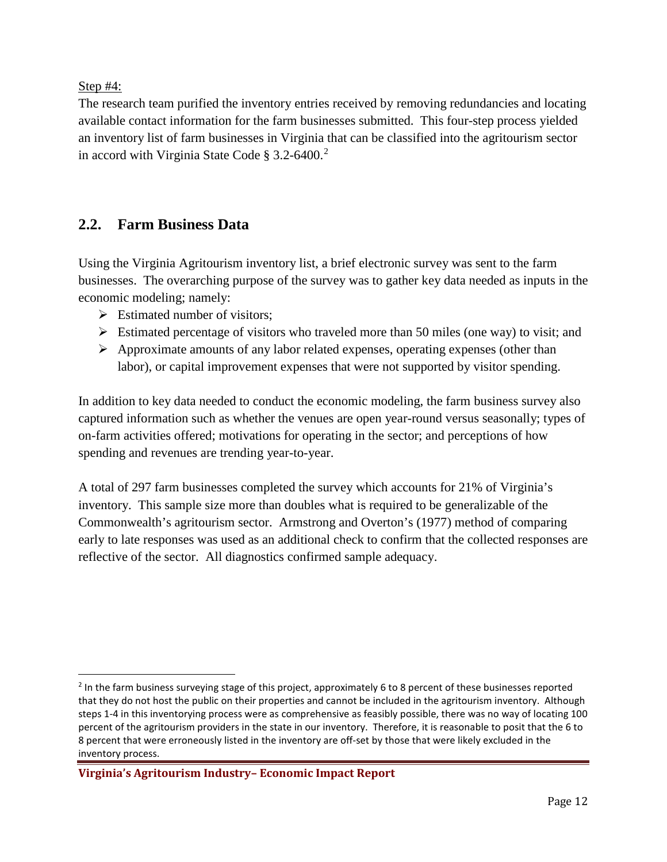Step #4:

The research team purified the inventory entries received by removing redundancies and locating available contact information for the farm businesses submitted. This four-step process yielded an inventory list of farm businesses in Virginia that can be classified into the agritourism sector in accord with Virginia State Code § 3.2-6400. [2](#page-11-1)

# <span id="page-11-0"></span>**2.2. Farm Business Data**

Using the Virginia Agritourism inventory list, a brief electronic survey was sent to the farm businesses. The overarching purpose of the survey was to gather key data needed as inputs in the economic modeling; namely:

- $\triangleright$  Estimated number of visitors;
- $\triangleright$  Estimated percentage of visitors who traveled more than 50 miles (one way) to visit; and
- $\triangleright$  Approximate amounts of any labor related expenses, operating expenses (other than labor), or capital improvement expenses that were not supported by visitor spending.

In addition to key data needed to conduct the economic modeling, the farm business survey also captured information such as whether the venues are open year-round versus seasonally; types of on-farm activities offered; motivations for operating in the sector; and perceptions of how spending and revenues are trending year-to-year.

A total of 297 farm businesses completed the survey which accounts for 21% of Virginia's inventory. This sample size more than doubles what is required to be generalizable of the Commonwealth's agritourism sector. Armstrong and Overton's (1977) method of comparing early to late responses was used as an additional check to confirm that the collected responses are reflective of the sector. All diagnostics confirmed sample adequacy.

<span id="page-11-1"></span><sup>&</sup>lt;sup>2</sup> In the farm business surveying stage of this project, approximately 6 to 8 percent of these businesses reported that they do not host the public on their properties and cannot be included in the agritourism inventory. Although steps 1-4 in this inventorying process were as comprehensive as feasibly possible, there was no way of locating 100 percent of the agritourism providers in the state in our inventory. Therefore, it is reasonable to posit that the 6 to 8 percent that were erroneously listed in the inventory are off-set by those that were likely excluded in the inventory process.

**Virginia's Agritourism Industry– Economic Impact Report**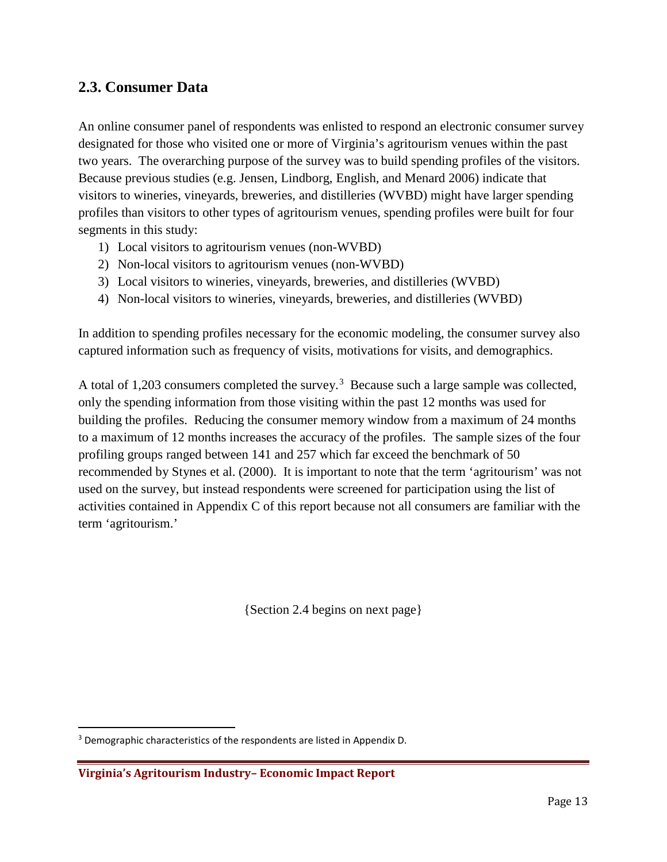## <span id="page-12-0"></span>**2.3. Consumer Data**

An online consumer panel of respondents was enlisted to respond an electronic consumer survey designated for those who visited one or more of Virginia's agritourism venues within the past two years. The overarching purpose of the survey was to build spending profiles of the visitors. Because previous studies (e.g. Jensen, Lindborg, English, and Menard 2006) indicate that visitors to wineries, vineyards, breweries, and distilleries (WVBD) might have larger spending profiles than visitors to other types of agritourism venues, spending profiles were built for four segments in this study:

- 1) Local visitors to agritourism venues (non-WVBD)
- 2) Non-local visitors to agritourism venues (non-WVBD)
- 3) Local visitors to wineries, vineyards, breweries, and distilleries (WVBD)
- 4) Non-local visitors to wineries, vineyards, breweries, and distilleries (WVBD)

In addition to spending profiles necessary for the economic modeling, the consumer survey also captured information such as frequency of visits, motivations for visits, and demographics.

A total of 1,20[3](#page-12-1) consumers completed the survey.<sup>3</sup> Because such a large sample was collected, only the spending information from those visiting within the past 12 months was used for building the profiles. Reducing the consumer memory window from a maximum of 24 months to a maximum of 12 months increases the accuracy of the profiles. The sample sizes of the four profiling groups ranged between 141 and 257 which far exceed the benchmark of 50 recommended by Stynes et al. (2000). It is important to note that the term 'agritourism' was not used on the survey, but instead respondents were screened for participation using the list of activities contained in Appendix C of this report because not all consumers are familiar with the term 'agritourism.'

{Section 2.4 begins on next page}

<span id="page-12-1"></span><sup>&</sup>lt;sup>3</sup> Demographic characteristics of the respondents are listed in Appendix D.

**Virginia's Agritourism Industry– Economic Impact Report**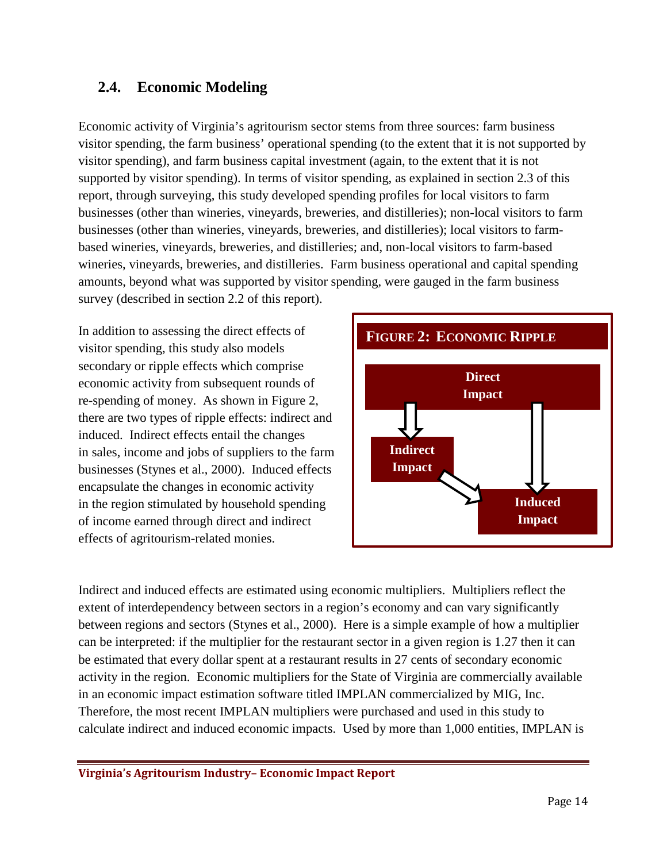## <span id="page-13-0"></span>**2.4. Economic Modeling**

Economic activity of Virginia's agritourism sector stems from three sources: farm business visitor spending, the farm business' operational spending (to the extent that it is not supported by visitor spending), and farm business capital investment (again, to the extent that it is not supported by visitor spending). In terms of visitor spending, as explained in section 2.3 of this report, through surveying, this study developed spending profiles for local visitors to farm businesses (other than wineries, vineyards, breweries, and distilleries); non-local visitors to farm businesses (other than wineries, vineyards, breweries, and distilleries); local visitors to farmbased wineries, vineyards, breweries, and distilleries; and, non-local visitors to farm-based wineries, vineyards, breweries, and distilleries. Farm business operational and capital spending amounts, beyond what was supported by visitor spending, were gauged in the farm business survey (described in section 2.2 of this report).

In addition to assessing the direct effects of visitor spending, this study also models secondary or ripple effects which comprise economic activity from subsequent rounds of re-spending of money. As shown in Figure 2, there are two types of ripple effects: indirect and induced. Indirect effects entail the changes in sales, income and jobs of suppliers to the farm businesses (Stynes et al., 2000). Induced effects encapsulate the changes in economic activity in the region stimulated by household spending of income earned through direct and indirect effects of agritourism-related monies.



Indirect and induced effects are estimated using economic multipliers. Multipliers reflect the extent of interdependency between sectors in a region's economy and can vary significantly between regions and sectors (Stynes et al., 2000). Here is a simple example of how a multiplier can be interpreted: if the multiplier for the restaurant sector in a given region is 1.27 then it can be estimated that every dollar spent at a restaurant results in 27 cents of secondary economic activity in the region. Economic multipliers for the State of Virginia are commercially available in an economic impact estimation software titled IMPLAN commercialized by MIG, Inc. Therefore, the most recent IMPLAN multipliers were purchased and used in this study to calculate indirect and induced economic impacts. Used by more than 1,000 entities, IMPLAN is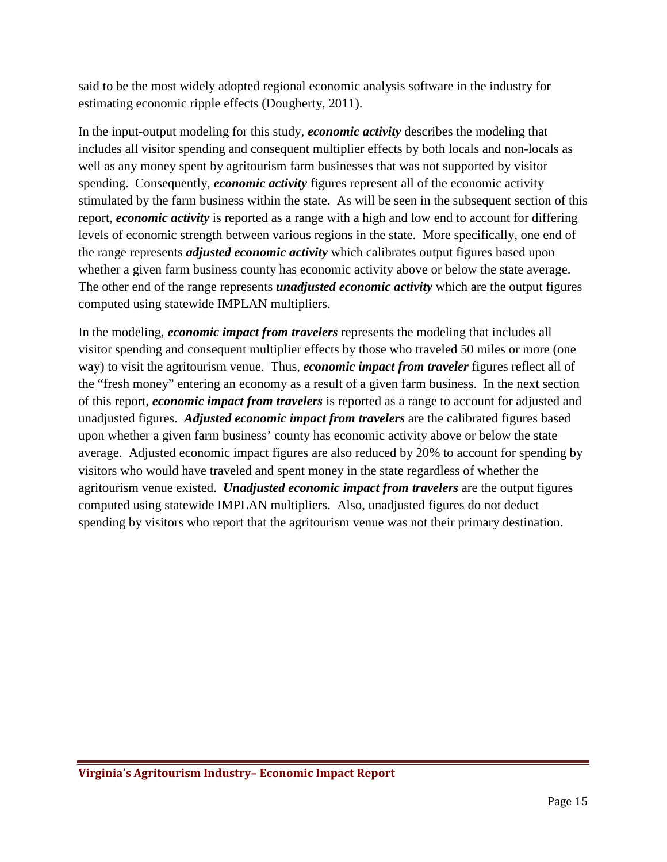said to be the most widely adopted regional economic analysis software in the industry for estimating economic ripple effects (Dougherty, 2011).

In the input-output modeling for this study, *economic activity* describes the modeling that includes all visitor spending and consequent multiplier effects by both locals and non-locals as well as any money spent by agritourism farm businesses that was not supported by visitor spending. Consequently, *economic activity* figures represent all of the economic activity stimulated by the farm business within the state. As will be seen in the subsequent section of this report, *economic activity* is reported as a range with a high and low end to account for differing levels of economic strength between various regions in the state. More specifically, one end of the range represents *adjusted economic activity* which calibrates output figures based upon whether a given farm business county has economic activity above or below the state average. The other end of the range represents *unadjusted economic activity* which are the output figures computed using statewide IMPLAN multipliers.

In the modeling, *economic impact from travelers* represents the modeling that includes all visitor spending and consequent multiplier effects by those who traveled 50 miles or more (one way) to visit the agritourism venue. Thus, *economic impact from traveler* figures reflect all of the "fresh money" entering an economy as a result of a given farm business. In the next section of this report, *economic impact from travelers* is reported as a range to account for adjusted and unadjusted figures. *Adjusted economic impact from travelers* are the calibrated figures based upon whether a given farm business' county has economic activity above or below the state average. Adjusted economic impact figures are also reduced by 20% to account for spending by visitors who would have traveled and spent money in the state regardless of whether the agritourism venue existed. *Unadjusted economic impact from travelers* are the output figures computed using statewide IMPLAN multipliers. Also, unadjusted figures do not deduct spending by visitors who report that the agritourism venue was not their primary destination.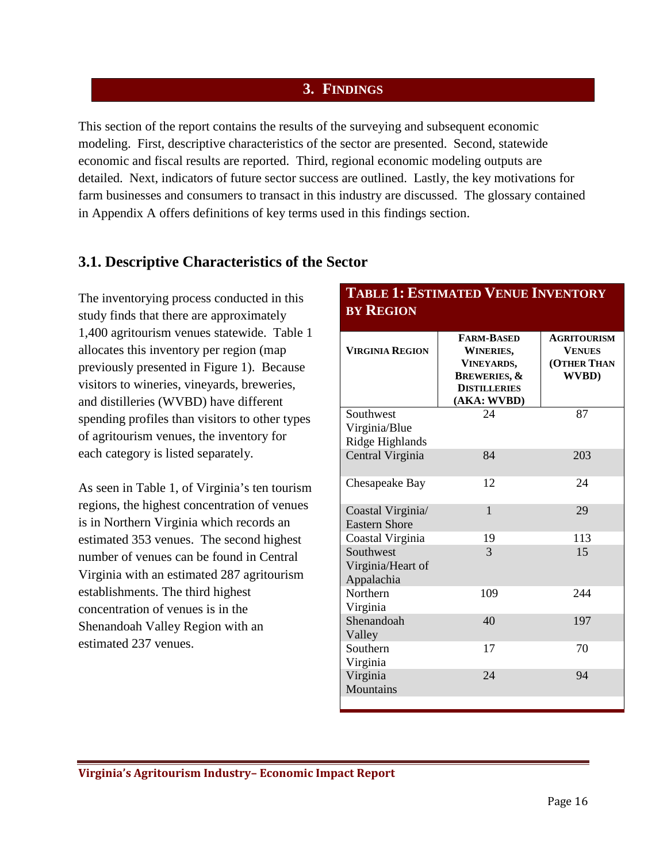#### **3. FINDINGS**

<span id="page-15-0"></span>This section of the report contains the results of the surveying and subsequent economic modeling. First, descriptive characteristics of the sector are presented. Second, statewide economic and fiscal results are reported. Third, regional economic modeling outputs are detailed. Next, indicators of future sector success are outlined. Lastly, the key motivations for farm businesses and consumers to transact in this industry are discussed. The glossary contained in Appendix A offers definitions of key terms used in this findings section.

## **3.1. Descriptive Characteristics of the Sector**

The inventorying process conducted in this study finds that there are approximately 1,400 agritourism venues statewide. Table 1 allocates this inventory per region (map previously presented in Figure 1). Because visitors to wineries, vineyards, breweries, and distilleries (WVBD) have different spending profiles than visitors to other types of agritourism venues, the inventory for each category is listed separately.

As seen in Table 1, of Virginia's ten tourism regions, the highest concentration of venues is in Northern Virginia which records an estimated 353 venues. The second highest number of venues can be found in Central Virginia with an estimated 287 agritourism establishments. The third highest concentration of venues is in the Shenandoah Valley Region with an estimated 237 venues.

#### **BY REGION VIRGINIA REGION FARM-BASED WINERIES, VINEYARDS, BREWERIES, & DISTILLERIES (AKA: WVBD) AGRITOURISM VENUES (OTHER THAN WVBD)** Southwest Virginia/Blue Ridge Highlands 24 87 Central Virginia 84 203 Chesapeake Bay 12 24 Coastal Virginia/ Eastern Shore 1 29 Coastal Virginia 19 113 Southwest Virginia/Heart of Appalachia 3 15 Northern Virginia 109 244 Shenandoah Valley 40 197 Southern Virginia 17 70 Virginia **Mountains** 24 94

<span id="page-15-1"></span>**TABLE 1: ESTIMATED VENUE INVENTORY**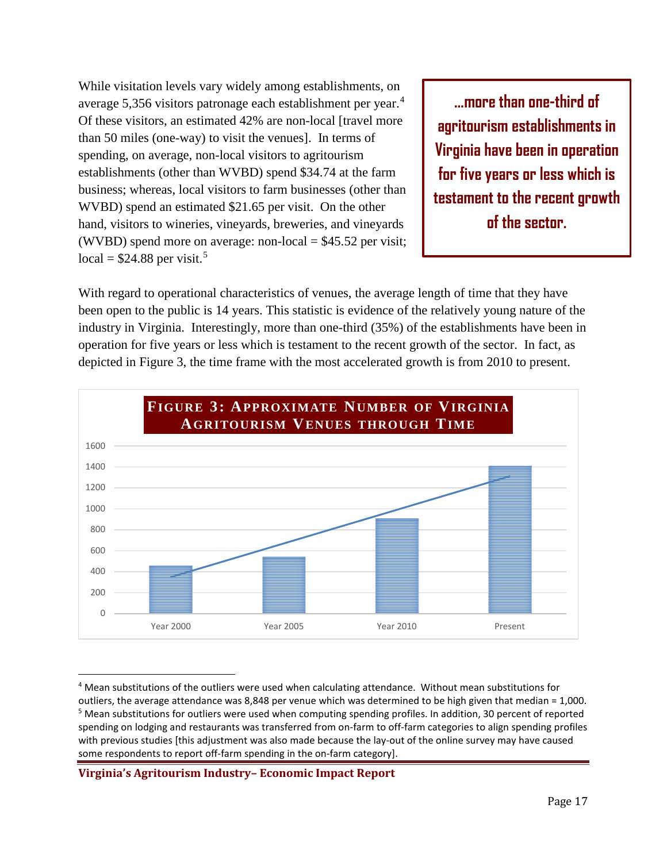While visitation levels vary widely among establishments, on average 5,356 visitors patronage each establishment per year.[4](#page-16-0) Of these visitors, an estimated 42% are non-local [travel more than 50 miles (one-way) to visit the venues]. In terms of spending, on average, non-local visitors to agritourism establishments (other than WVBD) spend \$34.74 at the farm business; whereas, local visitors to farm businesses (other than WVBD) spend an estimated \$21.65 per visit. On the other hand, visitors to wineries, vineyards, breweries, and vineyards (WVBD) spend more on average: non-local  $= $45.52$  per visit; local =  $$24.88$  per visit.<sup>[5](#page-16-1)</sup>

**…more than one-third of agritourism establishments in Virginia have been in operation for five years or less which is testament to the recent growth of the sector.**

With regard to operational characteristics of venues, the average length of time that they have been open to the public is 14 years. This statistic is evidence of the relatively young nature of the industry in Virginia. Interestingly, more than one-third (35%) of the establishments have been in operation for five years or less which is testament to the recent growth of the sector. In fact, as depicted in Figure 3, the time frame with the most accelerated growth is from 2010 to present.



<span id="page-16-1"></span><span id="page-16-0"></span> <sup>4</sup> Mean substitutions of the outliers were used when calculating attendance. Without mean substitutions for outliers, the average attendance was 8,848 per venue which was determined to be high given that median = 1,000. <sup>5</sup> Mean substitutions for outliers were used when computing spending profiles. In addition, 30 percent of reported spending on lodging and restaurants was transferred from on-farm to off-farm categories to align spending profiles with previous studies [this adjustment was also made because the lay-out of the online survey may have caused some respondents to report off-farm spending in the on-farm category].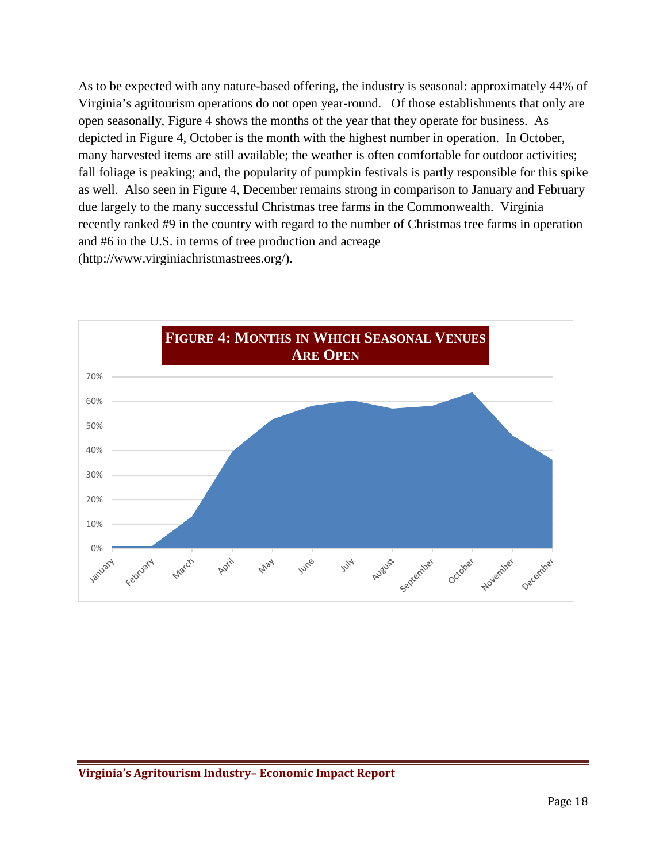As to be expected with any nature-based offering, the industry is seasonal: approximately 44% of Virginia's agritourism operations do not open year-round. Of those establishments that only are open seasonally, Figure 4 shows the months of the year that they operate for business. As depicted in Figure 4, October is the month with the highest number in operation. In October, many harvested items are still available; the weather is often comfortable for outdoor activities; fall foliage is peaking; and, the popularity of pumpkin festivals is partly responsible for this spike as well. Also seen in Figure 4, December remains strong in comparison to January and February due largely to the many successful Christmas tree farms in the Commonwealth. Virginia recently ranked #9 in the country with regard to the number of Christmas tree farms in operation and #6 in the U.S. in terms of tree production and acreage (http://www.virginiachristmastrees.org/).

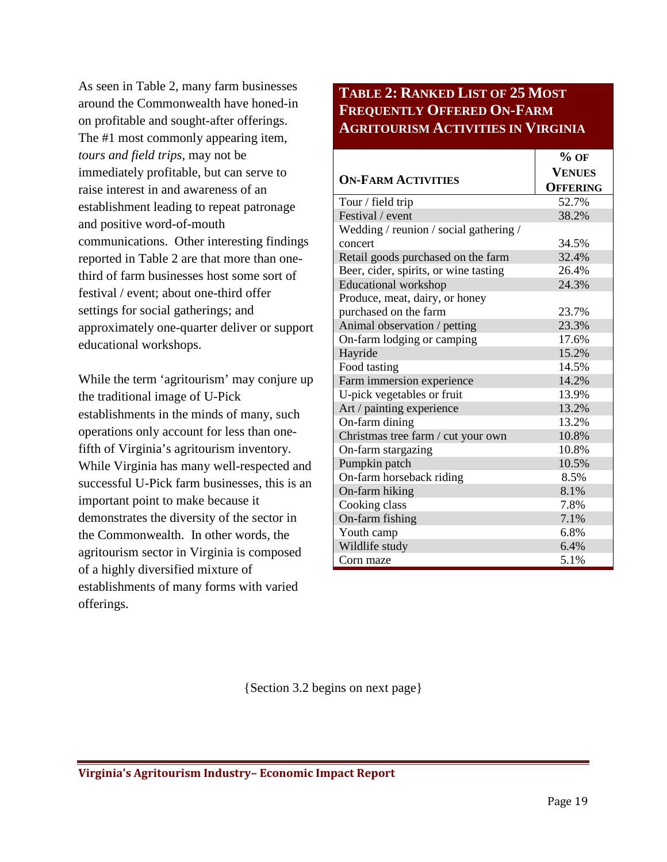As seen in Table 2, many farm businesses around the Commonwealth have honed-in on profitable and sought-after offerings. The #1 most commonly appearing item, *tours and field trips*, may not be immediately profitable, but can serve to raise interest in and awareness of an establishment leading to repeat patronage and positive word-of-mouth communications. Other interesting findings reported in Table 2 are that more than onethird of farm businesses host some sort of festival / event; about one-third offer settings for social gatherings; and approximately one-quarter deliver or support educational workshops.

While the term 'agritourism' may conjure up the traditional image of U-Pick establishments in the minds of many, such operations only account for less than onefifth of Virginia's agritourism inventory. While Virginia has many well-respected and successful U-Pick farm businesses, this is an important point to make because it demonstrates the diversity of the sector in the Commonwealth. In other words, the agritourism sector in Virginia is composed of a highly diversified mixture of establishments of many forms with varied offerings.

# **TABLE 2: RANKED LIST OF 25 MOST FREQUENTLY OFFERED ON-FARM AGRITOURISM ACTIVITIES IN VIRGINIA**

|                                        | $%$ OF          |
|----------------------------------------|-----------------|
|                                        | <b>VENUES</b>   |
| <b>ON-FARM ACTIVITIES</b>              | <b>OFFERING</b> |
| Tour / field trip                      | 52.7%           |
| Festival / event                       | 38.2%           |
| Wedding / reunion / social gathering / |                 |
| concert                                | 34.5%           |
| Retail goods purchased on the farm     | 32.4%           |
| Beer, cider, spirits, or wine tasting  | 26.4%           |
| <b>Educational</b> workshop            | 24.3%           |
| Produce, meat, dairy, or honey         |                 |
| purchased on the farm                  | 23.7%           |
| Animal observation / petting           | 23.3%           |
| On-farm lodging or camping             | 17.6%           |
| Hayride                                | 15.2%           |
| Food tasting                           | 14.5%           |
| Farm immersion experience              | 14.2%           |
| U-pick vegetables or fruit             | 13.9%           |
| Art / painting experience              | 13.2%           |
| On-farm dining                         | 13.2%           |
| Christmas tree farm / cut your own     | 10.8%           |
| On-farm stargazing                     | 10.8%           |
| Pumpkin patch                          | 10.5%           |
| On-farm horseback riding               | 8.5%            |
| On-farm hiking                         | 8.1%            |
| Cooking class                          | 7.8%            |
| On-farm fishing                        | 7.1%            |
| Youth camp                             | 6.8%            |
| Wildlife study                         | 6.4%            |
| Corn maze                              | 5.1%            |

{Section 3.2 begins on next page}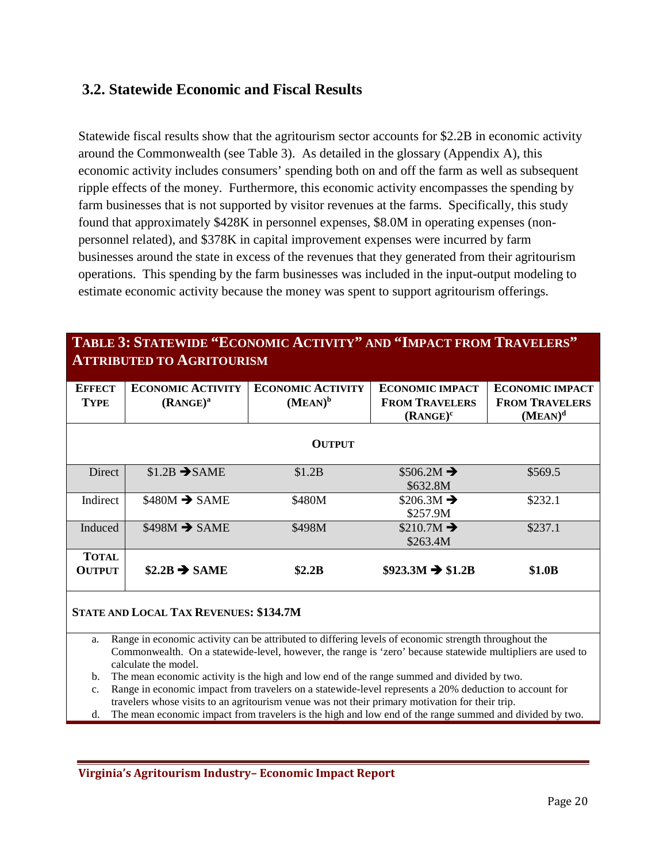# <span id="page-19-0"></span>**3.2. Statewide Economic and Fiscal Results**

Statewide fiscal results show that the agritourism sector accounts for \$2.2B in economic activity around the Commonwealth (see Table 3). As detailed in the glossary (Appendix A), this economic activity includes consumers' spending both on and off the farm as well as subsequent ripple effects of the money. Furthermore, this economic activity encompasses the spending by farm businesses that is not supported by visitor revenues at the farms. Specifically, this study found that approximately \$428K in personnel expenses, \$8.0M in operating expenses (nonpersonnel related), and \$378K in capital improvement expenses were incurred by farm businesses around the state in excess of the revenues that they generated from their agritourism operations. This spending by the farm businesses was included in the input-output modeling to estimate economic activity because the money was spent to support agritourism offerings.

## **TABLE 3: STATEWIDE "ECONOMIC ACTIVITY" AND "IMPACT FROM TRAVELERS" ATTRIBUTED TO AGRITOURISM**

| <b>EFFECT</b><br><b>TYPE</b>  | <b>ECONOMIC ACTIVITY</b><br>(RANCE) <sup>a</sup> | <b>ECONOMIC ACTIVITY</b><br>$(MEAN)^b$ | <b>ECONOMIC IMPACT</b><br><b>FROM TRAVELERS</b><br>$(RANCE)^c$ | <b>ECONOMIC IMPACT</b><br><b>FROM TRAVELERS</b><br>$(MEAN)^d$ |
|-------------------------------|--------------------------------------------------|----------------------------------------|----------------------------------------------------------------|---------------------------------------------------------------|
|                               |                                                  | <b>OUTPUT</b>                          |                                                                |                                                               |
| Direct                        | $$1.2B$ $\rightarrow$ SAME                       | \$1.2B                                 | $$506.2M \rightarrow$<br>\$632.8M                              | \$569.5                                                       |
| Indirect                      | $$480M \rightarrow$ SAME                         | \$480M                                 | $$206.3M \rightarrow$<br>\$257.9M                              | \$232.1                                                       |
| Induced                       | $$498M \rightarrow$ SAME                         | \$498M                                 | $$210.7M \rightarrow$<br>\$263.4M                              | \$237.1                                                       |
| <b>TOTAL</b><br><b>OUTPUT</b> | $\$2.2B \rightarrow$ SAME                        | \$2.2B                                 | $$923.3M \rightarrow $1.2B$                                    | \$1.0B                                                        |

#### **STATE AND LOCAL TAX REVENUES: \$134.7M**

a. Range in economic activity can be attributed to differing levels of economic strength throughout the Commonwealth. On a statewide-level, however, the range is 'zero' because statewide multipliers are used to calculate the model.

- b. The mean economic activity is the high and low end of the range summed and divided by two.
- c. Range in economic impact from travelers on a statewide-level represents a 20% deduction to account for travelers whose visits to an agritourism venue was not their primary motivation for their trip.
- d. The mean economic impact from travelers is the high and low end of the range summed and divided by two.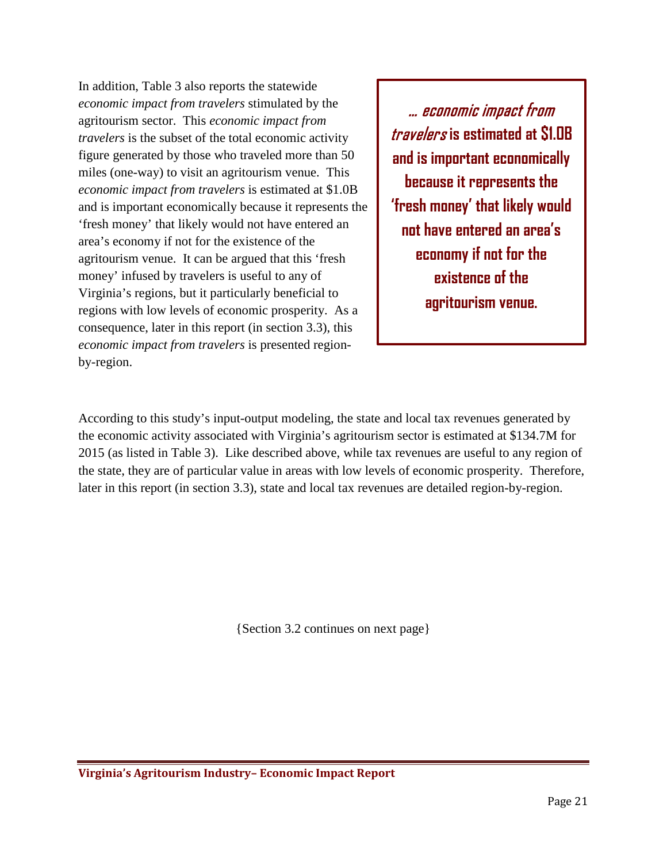In addition, Table 3 also reports the statewide *economic impact from travelers* stimulated by the agritourism sector. This *economic impact from travelers* is the subset of the total economic activity figure generated by those who traveled more than 50 miles (one-way) to visit an agritourism venue. This *economic impact from travelers* is estimated at \$1.0B and is important economically because it represents the 'fresh money' that likely would not have entered an area's economy if not for the existence of the agritourism venue. It can be argued that this 'fresh money' infused by travelers is useful to any of Virginia's regions, but it particularly beneficial to regions with low levels of economic prosperity. As a consequence, later in this report (in section 3.3), this *economic impact from travelers* is presented regionby-region.

… economic impact from travelers **is estimated at \$1.0B and is important economically because it represents the 'fresh money' that likely would not have entered an area's economy if not for the existence of the agritourism venue.**

According to this study's input-output modeling, the state and local tax revenues generated by the economic activity associated with Virginia's agritourism sector is estimated at \$134.7M for 2015 (as listed in Table 3). Like described above, while tax revenues are useful to any region of the state, they are of particular value in areas with low levels of economic prosperity. Therefore, later in this report (in section 3.3), state and local tax revenues are detailed region-by-region.

{Section 3.2 continues on next page}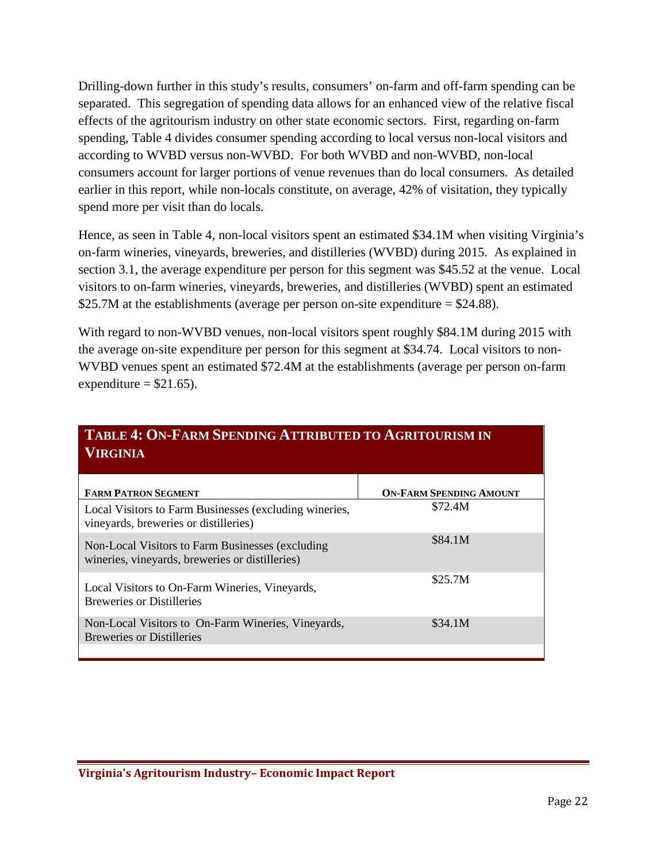Drilling-down further in this study's results, consumers' on-farm and off-farm spending can be separated. This segregation of spending data allows for an enhanced view of the relative fiscal effects of the agritourism industry on other state economic sectors. First, regarding on-farm spending, Table 4 divides consumer spending according to local versus non-local visitors and according to WVBD versus non-WVBD. For both WVBD and non-WVBD, non-local consumers account for larger portions of venue revenues than do local consumers. As detailed earlier in this report, while non-locals constitute, on average, 42% of visitation, they typically spend more per visit than do locals.

Hence, as seen in Table 4, non-local visitors spent an estimated \$34.1M when visiting Virginia's on-farm wineries, vineyards, breweries, and distilleries (WVBD) during 2015. As explained in section 3.1, the average expenditure per person for this segment was \$45.52 at the venue. Local visitors to on-farm wineries, vineyards, breweries, and distilleries (WVBD) spent an estimated \$25.7M at the establishments (average per person on-site expenditure = \$24.88).

With regard to non-WVBD venues, non-local visitors spent roughly \$84.1M during 2015 with the average on-site expenditure per person for this segment at \$34.74. Local visitors to non-WVBD venues spent an estimated \$72.4M at the establishments (average per person on-farm expenditure  $= $21.65$ ).

| TABLE 4. UN-PARM SPENDING ATTRIBUTED TO AGRITOURISM IN<br><b>VIRGINIA</b>                           |                                |  |  |
|-----------------------------------------------------------------------------------------------------|--------------------------------|--|--|
| <b>FARM PATRON SEGMENT</b>                                                                          | <b>ON-FARM SPENDING AMOUNT</b> |  |  |
| Local Visitors to Farm Businesses (excluding wineries,<br>vineyards, breweries or distilleries)     | \$72.4M                        |  |  |
| Non-Local Visitors to Farm Businesses (excluding<br>wineries, vineyards, breweries or distilleries) | \$84.1M                        |  |  |
| Local Visitors to On-Farm Wineries, Vineyards,<br><b>Breweries or Distilleries</b>                  | \$25.7M                        |  |  |
| Non-Local Visitors to On-Farm Wineries, Vineyards,<br><b>Breweries or Distilleries</b>              | \$34.1M                        |  |  |
|                                                                                                     |                                |  |  |

# **TABLE 4: ON-FARM SPENDING ATTPIPUTED TO**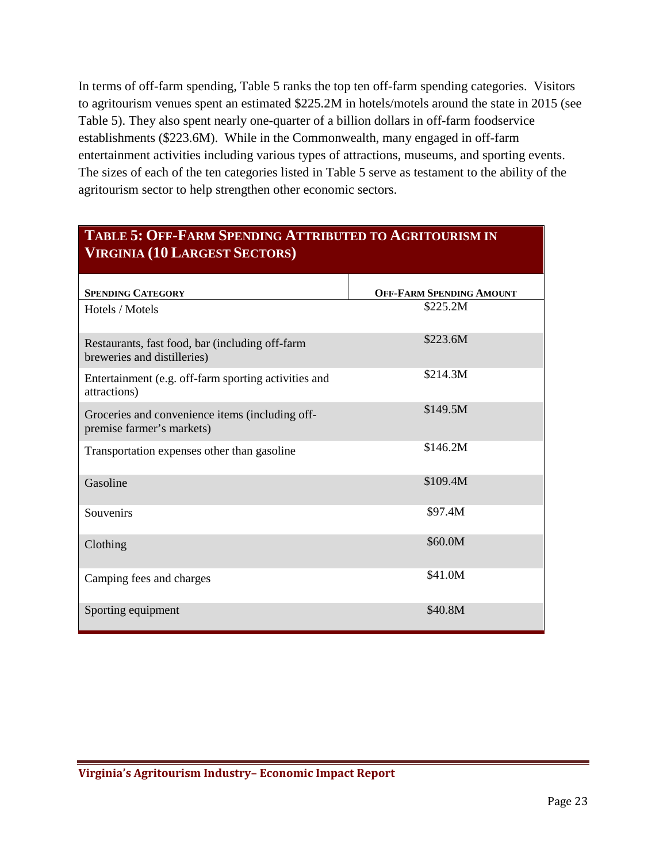In terms of off-farm spending, Table 5 ranks the top ten off-farm spending categories. Visitors to agritourism venues spent an estimated \$225.2M in hotels/motels around the state in 2015 (see Table 5). They also spent nearly one-quarter of a billion dollars in off-farm foodservice establishments (\$223.6M). While in the Commonwealth, many engaged in off-farm entertainment activities including various types of attractions, museums, and sporting events. The sizes of each of the ten categories listed in Table 5 serve as testament to the ability of the agritourism sector to help strengthen other economic sectors.

# **TABLE 5: OFF-FARM SPENDING ATTRIBUTED TO AGRITOURISM IN VIRGINIA (10 LARGEST SECTORS)**

| <b>SPENDING CATEGORY</b>                                                       | <b>OFF-FARM SPENDING AMOUNT</b> |
|--------------------------------------------------------------------------------|---------------------------------|
| Hotels / Motels                                                                | \$225.2M                        |
| Restaurants, fast food, bar (including off-farm<br>breweries and distilleries) | \$223.6M                        |
| Entertainment (e.g. off-farm sporting activities and<br>attractions)           | \$214.3M                        |
| Groceries and convenience items (including off-<br>premise farmer's markets)   | \$149.5M                        |
| Transportation expenses other than gasoline                                    | \$146.2M                        |
| Gasoline                                                                       | \$109.4M                        |
| Souvenirs                                                                      | \$97.4M                         |
| Clothing                                                                       | \$60.0M                         |
| Camping fees and charges                                                       | \$41.0M                         |
| Sporting equipment                                                             | \$40.8M                         |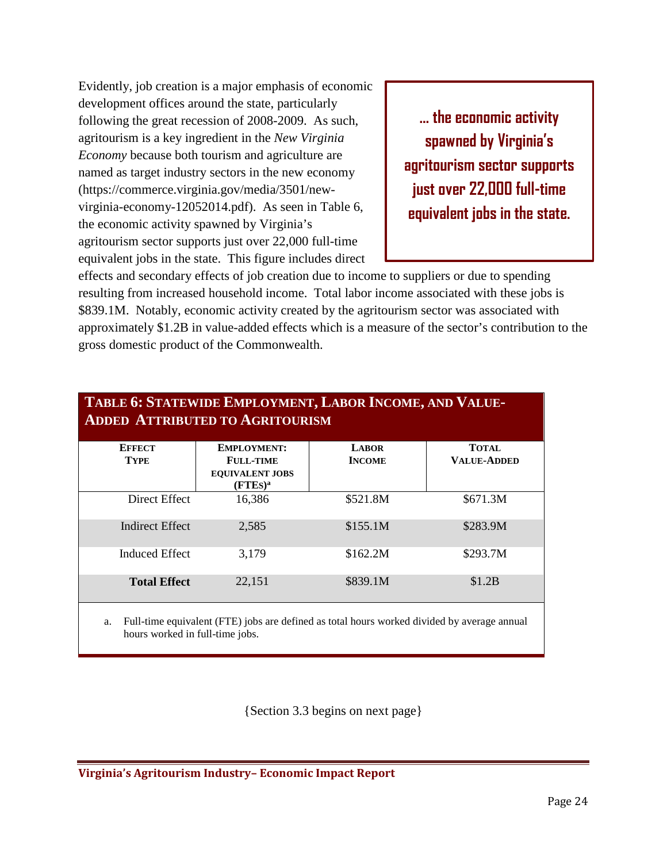Evidently, job creation is a major emphasis of economic development offices around the state, particularly following the great recession of 2008-2009. As such, agritourism is a key ingredient in the *New Virginia Economy* because both tourism and agriculture are named as target industry sectors in the new economy (https://commerce.virginia.gov/media/3501/newvirginia-economy-12052014.pdf). As seen in Table 6, the economic activity spawned by Virginia's agritourism sector supports just over 22,000 full-time equivalent jobs in the state. This figure includes direct

**… the economic activity spawned by Virginia's agritourism sector supports just over 22,000 full-time equivalent jobs in the state.**

effects and secondary effects of job creation due to income to suppliers or due to spending resulting from increased household income. Total labor income associated with these jobs is \$839.1M. Notably, economic activity created by the agritourism sector was associated with approximately \$1.2B in value-added effects which is a measure of the sector's contribution to the gross domestic product of the Commonwealth.

| TABLE 6: STATEWIDE EMPLOYMENT, LABOR INCOME, AND VALUE-<br><b>ADDED ATTRIBUTED TO AGRITOURISM</b> |                                                                                |                               |                                    |  |  |
|---------------------------------------------------------------------------------------------------|--------------------------------------------------------------------------------|-------------------------------|------------------------------------|--|--|
| <b>EFFECT</b><br><b>TYPE</b>                                                                      | <b>EMPLOYMENT:</b><br><b>FULL-TIME</b><br><b>EQUIVALENT JOBS</b><br>$(FTES)^a$ | <b>LABOR</b><br><b>INCOME</b> | <b>TOTAL</b><br><b>VALUE-ADDED</b> |  |  |
| Direct Effect                                                                                     | 16,386                                                                         | \$521.8M                      | \$671.3M\$                         |  |  |
| Indirect Effect                                                                                   | 2,585                                                                          | \$155.1M                      | \$283.9M                           |  |  |
| <b>Induced Effect</b>                                                                             | 3,179                                                                          | \$162.2M                      | \$293.7M                           |  |  |
| <b>Total Effect</b>                                                                               | 22,151                                                                         | \$839.1M                      | \$1.2B                             |  |  |

a. Full-time equivalent (FTE) jobs are defined as total hours worked divided by average annual hours worked in full-time jobs.

{Section 3.3 begins on next page}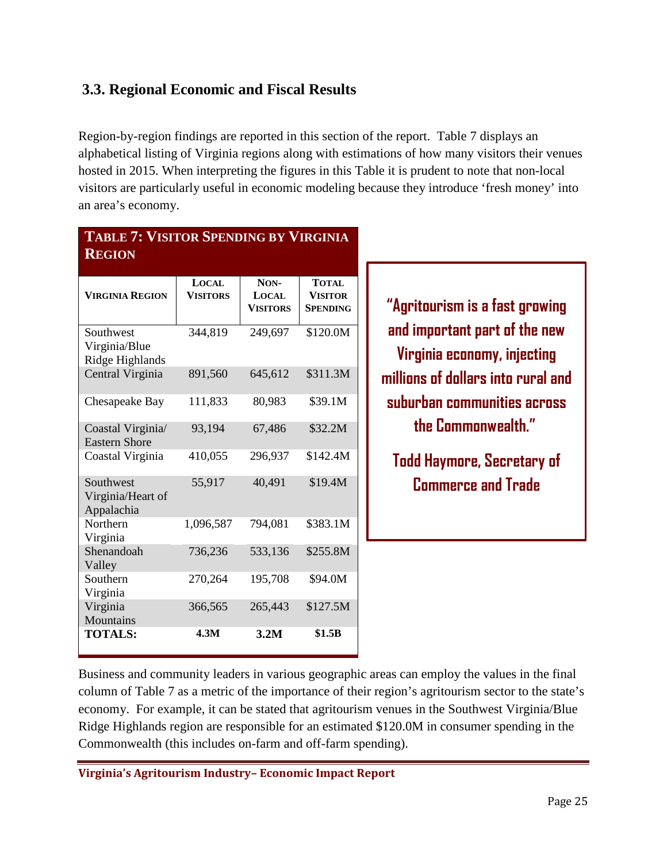# <span id="page-24-0"></span>**3.3. Regional Economic and Fiscal Results**

Region-by-region findings are reported in this section of the report. Table 7 displays an alphabetical listing of Virginia regions along with estimations of how many visitors their venues hosted in 2015. When interpreting the figures in this Table it is prudent to note that non-local visitors are particularly useful in economic modeling because they introduce 'fresh money' into an area's economy.

## **TABLE 7: VISITOR SPENDING BY VIRGINIA REGION**

| <b>VIRGINIA REGION</b>                        | <b>LOCAL</b><br><b>VISITORS</b> | NON-<br><b>LOCAL</b><br><b>VISITORS</b> | <b>TOTAL</b><br><b>VISITOR</b><br><b>SPENDING</b> |
|-----------------------------------------------|---------------------------------|-----------------------------------------|---------------------------------------------------|
| Southwest<br>Virginia/Blue<br>Ridge Highlands | 344,819                         | 249,697                                 | \$120.0M                                          |
| Central Virginia                              | 891,560                         | 645,612                                 | \$311.3M                                          |
| Chesapeake Bay                                | 111,833                         | 80,983                                  | \$39.1M                                           |
| Coastal Virginia/<br><b>Eastern Shore</b>     | 93,194                          | 67,486                                  | \$32.2M                                           |
| Coastal Virginia                              | 410,055                         | 296,937                                 | \$142.4M                                          |
| Southwest<br>Virginia/Heart of<br>Appalachia  | 55,917                          | 40,491                                  | \$19.4M                                           |
| Northern<br>Virginia                          | 1,096,587                       | 794,081                                 | \$383.1M                                          |
| Shenandoah<br>Valley                          | 736,236                         | 533,136                                 | \$255.8M                                          |
| Southern<br>Virginia                          | 270,264                         | 195,708                                 | \$94.0M                                           |
| Virginia<br>Mountains                         | 366,565                         | 265,443                                 | \$127.5M                                          |
| <b>TOTALS:</b>                                | 4.3M                            | 3.2M                                    | \$1.5B                                            |

**"Agritourism is a fast growing and important part of the new Virginia economy, injecting millions of dollars into rural and suburban communities across the Commonwealth."**

**Todd Haymore, Secretary of Commerce and Trade**

Business and community leaders in various geographic areas can employ the values in the final column of Table 7 as a metric of the importance of their region's agritourism sector to the state's economy. For example, it can be stated that agritourism venues in the Southwest Virginia/Blue Ridge Highlands region are responsible for an estimated \$120.0M in consumer spending in the Commonwealth (this includes on-farm and off-farm spending).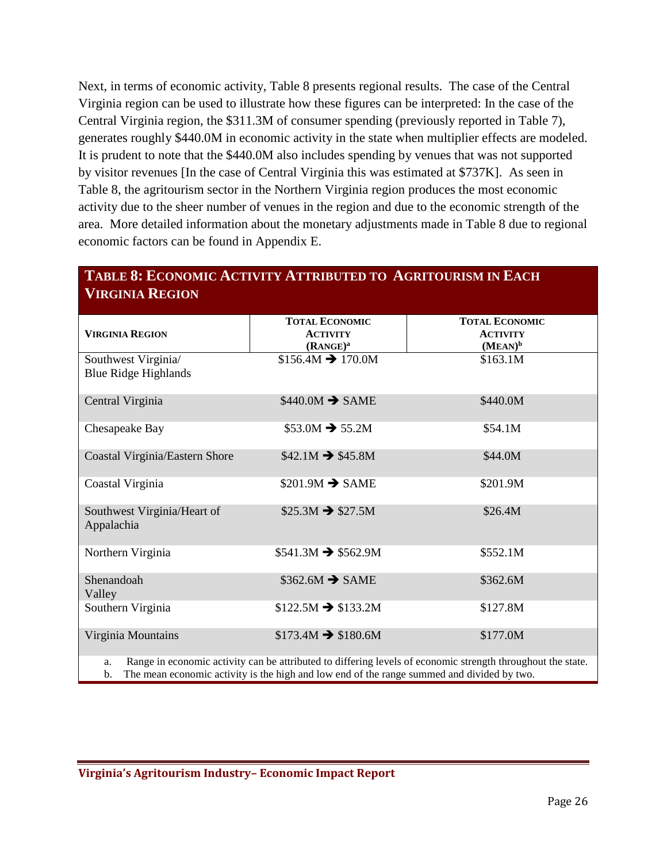Next, in terms of economic activity, Table 8 presents regional results. The case of the Central Virginia region can be used to illustrate how these figures can be interpreted: In the case of the Central Virginia region, the \$311.3M of consumer spending (previously reported in Table 7), generates roughly \$440.0M in economic activity in the state when multiplier effects are modeled. It is prudent to note that the \$440.0M also includes spending by venues that was not supported by visitor revenues [In the case of Central Virginia this was estimated at \$737K]. As seen in Table 8, the agritourism sector in the Northern Virginia region produces the most economic activity due to the sheer number of venues in the region and due to the economic strength of the area. More detailed information about the monetary adjustments made in Table 8 due to regional economic factors can be found in Appendix E.

| <b>VIRGINIA REGION</b>                                                                                                                                                                                                            |                                                                  |                                                        |  |  |
|-----------------------------------------------------------------------------------------------------------------------------------------------------------------------------------------------------------------------------------|------------------------------------------------------------------|--------------------------------------------------------|--|--|
| <b>VIRGINIA REGION</b>                                                                                                                                                                                                            | <b>TOTAL ECONOMIC</b><br><b>ACTIVITY</b><br>(RANCE) <sup>a</sup> | <b>TOTAL ECONOMIC</b><br><b>ACTIVITY</b><br>$(MEAN)^b$ |  |  |
| Southwest Virginia/<br><b>Blue Ridge Highlands</b>                                                                                                                                                                                | $$156.4M \rightarrow 170.0M$                                     | \$163.1M                                               |  |  |
| Central Virginia                                                                                                                                                                                                                  | $$440.0M \rightarrow$ SAME                                       | \$440.0M                                               |  |  |
| Chesapeake Bay                                                                                                                                                                                                                    | $$53.0M \rightarrow 55.2M$                                       | \$54.1M                                                |  |  |
| Coastal Virginia/Eastern Shore                                                                                                                                                                                                    | $$42.1M \rightarrow $45.8M$                                      | \$44.0M                                                |  |  |
| Coastal Virginia                                                                                                                                                                                                                  | $$201.9M \rightarrow$ SAME                                       | \$201.9M                                               |  |  |
| Southwest Virginia/Heart of<br>Appalachia                                                                                                                                                                                         | $$25.3M \rightarrow $27.5M$                                      | \$26.4M                                                |  |  |
| Northern Virginia                                                                                                                                                                                                                 | $$541.3M \rightarrow $562.9M$                                    | \$552.1M                                               |  |  |
| Shenandoah<br>Valley                                                                                                                                                                                                              | $$362.6M \rightarrow$ SAME                                       | \$362.6M                                               |  |  |
| Southern Virginia                                                                                                                                                                                                                 | $$122.5M \rightarrow $133.2M$                                    | \$127.8M                                               |  |  |
| Virginia Mountains                                                                                                                                                                                                                | $$173.4M \rightarrow $180.6M$                                    | \$177.0M                                               |  |  |
| Range in economic activity can be attributed to differing levels of economic strength throughout the state.<br>a.<br>The mean economic activity is the high and low end of the range summed and divided by two.<br>$\mathbf{b}$ . |                                                                  |                                                        |  |  |

# **TABLE 8: ECONOMIC ACTIVITY ATTRIBUTED TO AGRITOURISM IN EACH**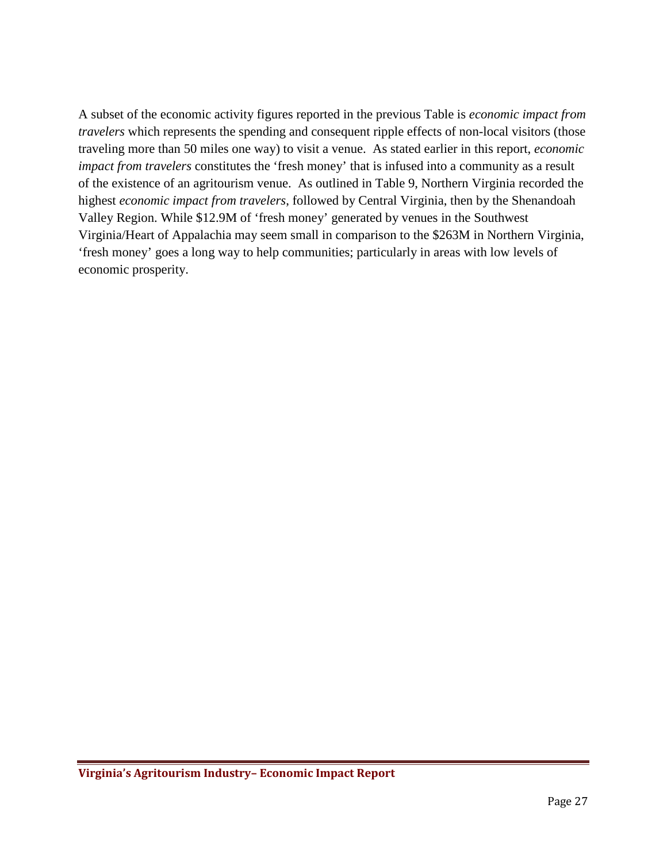A subset of the economic activity figures reported in the previous Table is *economic impact from travelers* which represents the spending and consequent ripple effects of non-local visitors (those traveling more than 50 miles one way) to visit a venue. As stated earlier in this report, *economic impact from travelers* constitutes the 'fresh money' that is infused into a community as a result of the existence of an agritourism venue. As outlined in Table 9, Northern Virginia recorded the highest *economic impact from travelers*, followed by Central Virginia, then by the Shenandoah Valley Region. While \$12.9M of 'fresh money' generated by venues in the Southwest Virginia/Heart of Appalachia may seem small in comparison to the \$263M in Northern Virginia, 'fresh money' goes a long way to help communities; particularly in areas with low levels of economic prosperity.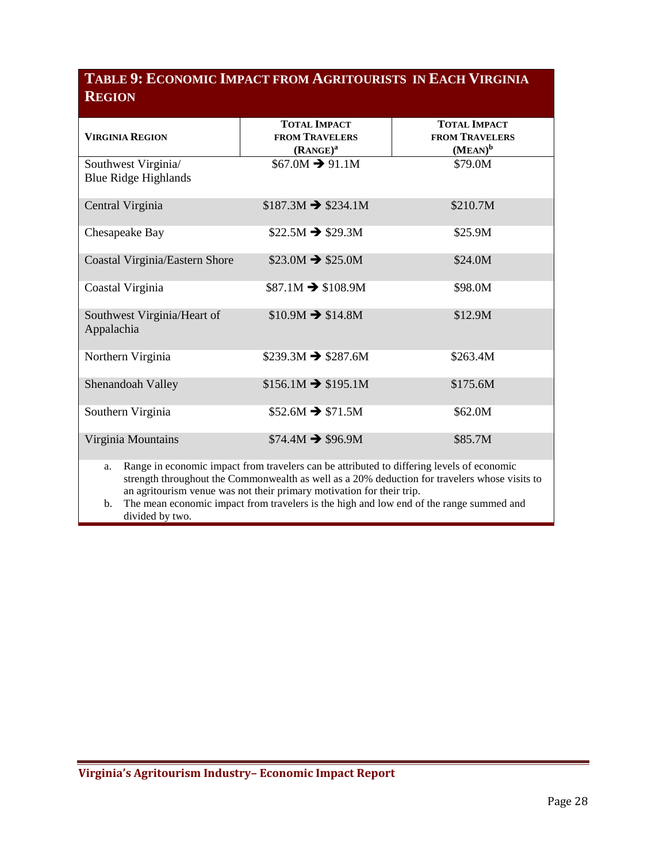# **TABLE 9: ECONOMIC IMPACT FROM AGRITOURISTS IN EACH VIRGINIA REGION**

|                                                                                                                                                                                                                                                                                                                                                                            | <b>TOTAL IMPACT</b>           | <b>TOTAL IMPACT</b>   |  |
|----------------------------------------------------------------------------------------------------------------------------------------------------------------------------------------------------------------------------------------------------------------------------------------------------------------------------------------------------------------------------|-------------------------------|-----------------------|--|
| <b>VIRGINIA REGION</b>                                                                                                                                                                                                                                                                                                                                                     | <b>FROM TRAVELERS</b>         | <b>FROM TRAVELERS</b> |  |
|                                                                                                                                                                                                                                                                                                                                                                            | (RANCE) <sup>a</sup>          | $(MEAN)^b$            |  |
| Southwest Virginia/                                                                                                                                                                                                                                                                                                                                                        | $$67.0M \rightarrow 91.1M$    | \$79.0M               |  |
| <b>Blue Ridge Highlands</b>                                                                                                                                                                                                                                                                                                                                                |                               |                       |  |
| Central Virginia                                                                                                                                                                                                                                                                                                                                                           | $$187.3M \rightarrow $234.1M$ | \$210.7M              |  |
| Chesapeake Bay                                                                                                                                                                                                                                                                                                                                                             | $$22.5M \rightarrow $29.3M$   | \$25.9M               |  |
| Coastal Virginia/Eastern Shore                                                                                                                                                                                                                                                                                                                                             | $$23.0M \rightarrow $25.0M$   | \$24.0M               |  |
| Coastal Virginia                                                                                                                                                                                                                                                                                                                                                           | $$87.1M \rightarrow $108.9M$  | \$98.0M               |  |
| Southwest Virginia/Heart of<br>Appalachia                                                                                                                                                                                                                                                                                                                                  | $$10.9M \rightarrow $14.8M$   | \$12.9M               |  |
| Northern Virginia                                                                                                                                                                                                                                                                                                                                                          | $$239.3M \rightarrow $287.6M$ | \$263.4M              |  |
| Shenandoah Valley                                                                                                                                                                                                                                                                                                                                                          | $$156.1M \rightarrow $195.1M$ | \$175.6M              |  |
| Southern Virginia                                                                                                                                                                                                                                                                                                                                                          | $$52.6M \rightarrow $71.5M$   | \$62.0M               |  |
| Virginia Mountains                                                                                                                                                                                                                                                                                                                                                         | $$74.4M \rightarrow $96.9M$   | \$85.7M               |  |
| Range in economic impact from travelers can be attributed to differing levels of economic<br>a.<br>strength throughout the Commonwealth as well as a 20% deduction for travelers whose visits to<br>an agritourism venue was not their primary motivation for their trip.<br>The mean economic impact from travelers is the high and low end of the range summed and<br>b. |                               |                       |  |
| divided by two.                                                                                                                                                                                                                                                                                                                                                            |                               |                       |  |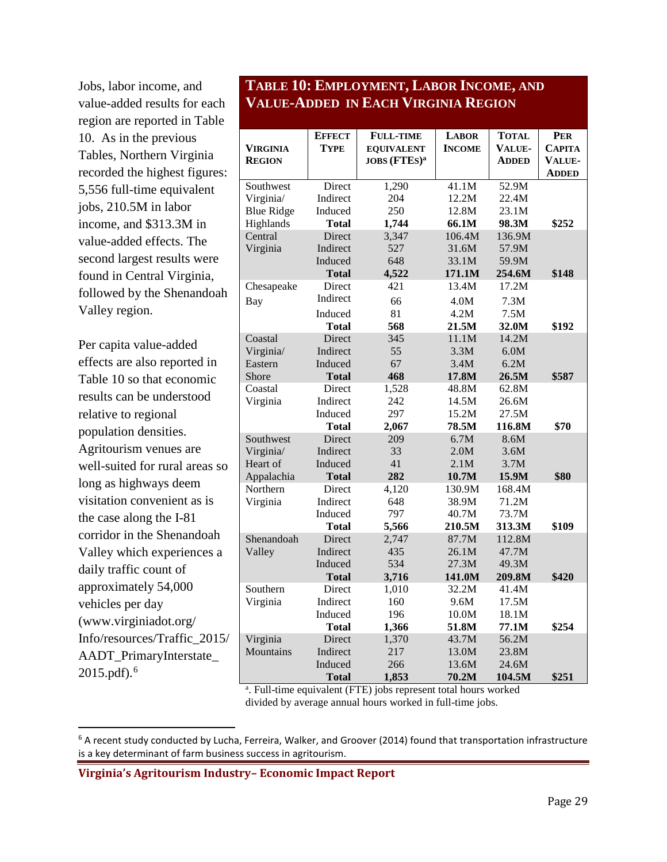Jobs, labor income, and value-added results for each region are reported in Table 10. As in the previous Tables, Northern Virginia recorded the highest figures: 5,556 full-time equivalent jobs, 210.5M in labor income, and \$313.3M in value-added effects. The second largest results were found in Central Virginia, followed by the Shenandoah Valley region.

Per capita value-added effects are also reported in Table 10 so that economic results can be understood relative to regional population densities. Agritourism venues are well-suited for rural areas so long as highways deem visitation convenient as is the case along the I-81 corridor in the Shenandoah Valley which experiences a daily traffic count of approximately 54,000 vehicles per day (www.virginiadot.org/ Info/resources/Traffic\_2015/ AADT\_PrimaryInterstate\_ 2015.pdf).[6](#page-28-0)

### **TABLE 10: EMPLOYMENT, LABOR INCOME, AND VALUE-ADDED IN EACH VIRGINIA REGION**

|                   | <b>EFFECT</b>          | <b>FULL-TIME</b>         | <b>LABOR</b>    | TOTAL            | <b>PER</b>    |
|-------------------|------------------------|--------------------------|-----------------|------------------|---------------|
| VIRGINIA          | <b>TYPE</b>            | <b>EQUIVALENT</b>        | <b>INCOME</b>   | <b>VALUE-</b>    | <b>CAPITA</b> |
| <b>REGION</b>     |                        | JOBS (FTES) <sup>a</sup> |                 | <b>ADDED</b>     | <b>VALUE-</b> |
|                   |                        |                          |                 |                  | <b>ADDED</b>  |
| Southwest         | Direct                 | 1,290                    | 41.1M           | 52.9M            |               |
| Virginia/         | Indirect               | 204                      | 12.2M           | 22.4M            |               |
| <b>Blue Ridge</b> | Induced                | 250                      | 12.8M           | 23.1M            |               |
| Highlands         | <b>Total</b>           | 1,744                    | 66.1M           | 98.3M            | \$252         |
| Central           | Direct                 | 3,347                    | 106.4M          | 136.9M           |               |
| Virginia          | Indirect               | 527                      | 31.6M           | 57.9M            |               |
|                   | Induced                | 648                      | 33.1M           | 59.9M            |               |
|                   | <b>Total</b>           | 4,522                    | 171.1M          | 254.6M           | \$148         |
| Chesapeake        | Direct                 | 421                      | 13.4M           | 17.2M            |               |
| Bay               | Indirect               | 66                       | 4.0M            | 7.3M             |               |
|                   | Induced                | 81                       | 4.2M            | 7.5M             |               |
|                   | Total                  | 568                      | 21.5M           | 32.0M            | \$192         |
| Coastal           | Direct                 | 345                      | 11.1M           | 14.2M            |               |
| Virginia/         | Indirect               | 55                       | 3.3M            | 6.0M             |               |
| Eastern           | Induced                | 67                       | 3.4M            | 6.2M             |               |
| Shore             | <b>Total</b>           | 468                      | 17.8M           | 26.5M            | \$587         |
| Coastal           | Direct                 | 1,528                    | 48.8M           | 62.8M            |               |
| Virginia          | Indirect               | 242                      | 14.5M           | 26.6M            |               |
|                   | Induced                | 297                      | 15.2M           | 27.5M            |               |
|                   | <b>Total</b>           | 2,067                    | 78.5M           | 116.8M           | \$70          |
| Southwest         | Direct                 | 209                      | 6.7M            | 8.6M             |               |
| Virginia/         | Indirect               | 33                       | 2.0M            | 3.6M             |               |
| Heart of          | Induced                | 41                       | 2.1M            | 3.7M             |               |
| Appalachia        | Total                  | 282                      | 10.7M           | 15.9M            | \$80          |
| Northern          | Direct                 | 4,120                    | 130.9M          | 168.4M           |               |
| Virginia          | Indirect               | 648                      | 38.9M           | 71.2M            |               |
|                   | Induced                | 797                      | 40.7M           | 73.7M            |               |
| Shenandoah        | <b>Total</b><br>Direct | 5,566<br>2,747           | 210.5M<br>87.7M | 313.3M<br>112.8M | \$109         |
| Valley            | Indirect               | 435                      | 26.1M           | 47.7M            |               |
|                   | Induced                | 534                      | 27.3M           | 49.3M            |               |
|                   | <b>Total</b>           | 3,716                    | 141.0M          | 209.8M           | \$420         |
| Southern          | Direct                 | 1,010                    | 32.2M           | 41.4M            |               |
| Virginia          | Indirect               | 160                      | 9.6M            | 17.5M            |               |
|                   | Induced                | 196                      | 10.0M           | 18.1M            |               |
|                   | Total                  | 1,366                    | 51.8M           | 77.1M            | \$254         |
| Virginia          | Direct                 | 1,370                    | 43.7M           | 56.2M            |               |
| Mountains         | Indirect               | 217                      | 13.0M           | 23.8M            |               |
|                   | Induced                | 266                      | 13.6M           | 24.6M            |               |
|                   | <b>Total</b>           | 1,853                    | 70.2M           | 104.5M           | \$251         |

a . Full-time equivalent (FTE) jobs represent total hours worked divided by average annual hours worked in full-time jobs.

<span id="page-28-0"></span> $6$  A recent study conducted by Lucha, Ferreira, Walker, and Groover (2014) found that transportation infrastructure is a key determinant of farm business success in agritourism.

**Virginia's Agritourism Industry– Economic Impact Report**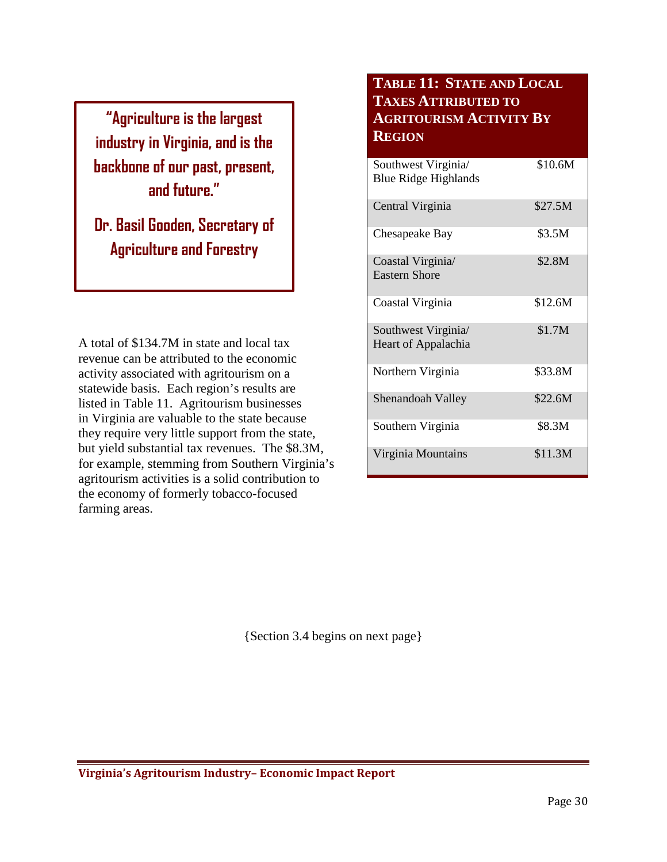**"Agriculture is the largest industry in Virginia, and is the backbone of our past, present, and future."**

**Dr. Basil Gooden, Secretary of Agriculture and Forestry**

A total of \$134.7M in state and local tax revenue can be attributed to the economic activity associated with agritourism on a statewide basis. Each region's results are listed in Table 11. Agritourism businesses in Virginia are valuable to the state because they require very little support from the state, but yield substantial tax revenues. The \$8.3M, for example, stemming from Southern Virginia's agritourism activities is a solid contribution to the economy of formerly tobacco-focused farming areas.

# **TABLE 11: STATE AND LOCAL TAXES ATTRIBUTED TO AGRITOURISM ACTIVITY BY REGION**

| Southwest Virginia<br><b>Blue Ridge Highlands</b> | \$10.6M |
|---------------------------------------------------|---------|
| Central Virginia                                  | \$27.5M |
| Chesapeake Bay                                    | \$3.5M  |
| Coastal Virginia<br><b>Eastern Shore</b>          | \$2.8M  |
| Coastal Virginia                                  | \$12.6M |
| Southwest Virginia/<br>Heart of Appalachia        | \$1.7M  |
| Northern Virginia                                 | \$33.8M |
| Shenandoah Valley                                 | \$22.6M |
| Southern Virginia                                 | \$8.3M  |
| Virginia Mountains                                | \$11.3M |

{Section 3.4 begins on next page}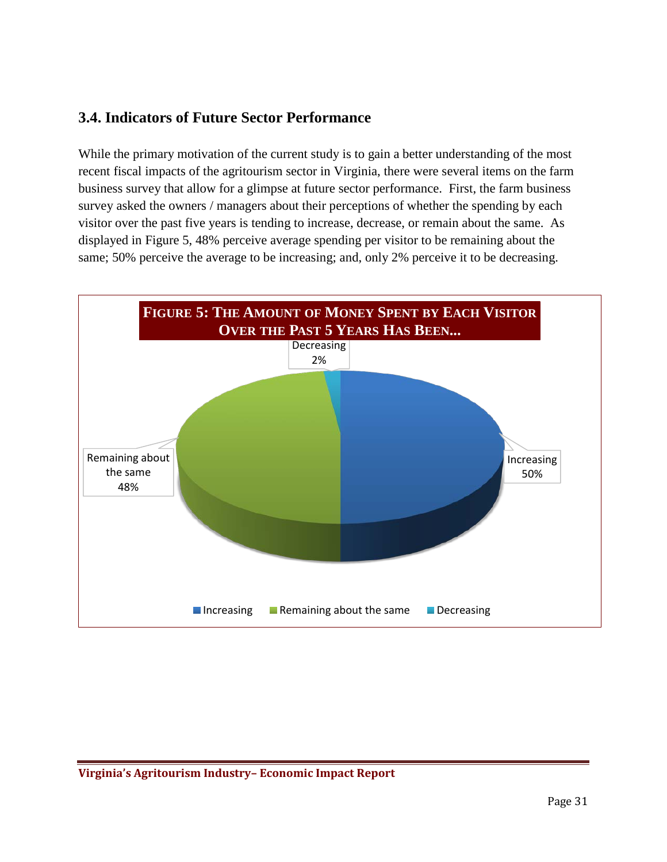# <span id="page-30-0"></span>**3.4. Indicators of Future Sector Performance**

While the primary motivation of the current study is to gain a better understanding of the most recent fiscal impacts of the agritourism sector in Virginia, there were several items on the farm business survey that allow for a glimpse at future sector performance. First, the farm business survey asked the owners / managers about their perceptions of whether the spending by each visitor over the past five years is tending to increase, decrease, or remain about the same. As displayed in Figure 5, 48% perceive average spending per visitor to be remaining about the same; 50% perceive the average to be increasing; and, only 2% perceive it to be decreasing.

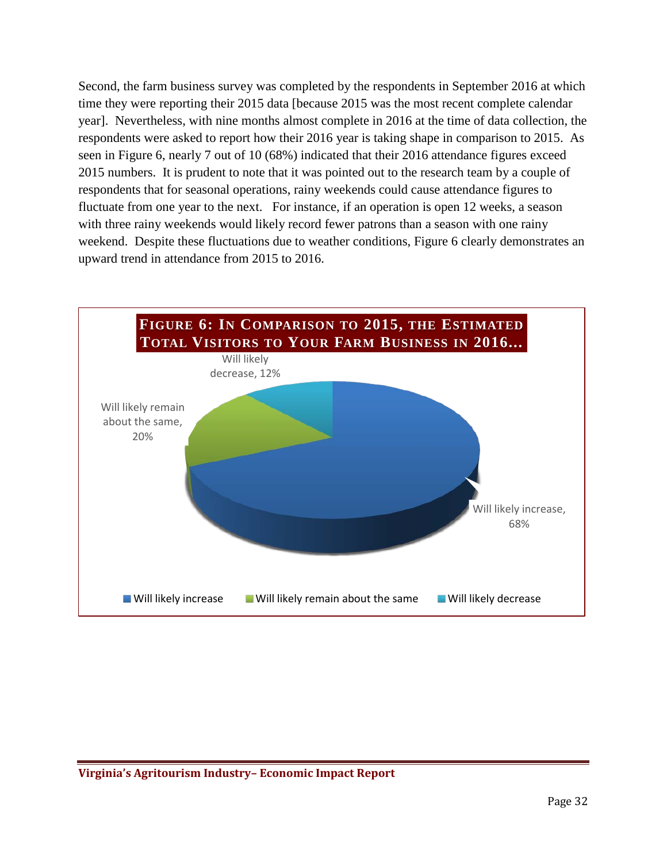Second, the farm business survey was completed by the respondents in September 2016 at which time they were reporting their 2015 data [because 2015 was the most recent complete calendar year]. Nevertheless, with nine months almost complete in 2016 at the time of data collection, the respondents were asked to report how their 2016 year is taking shape in comparison to 2015. As seen in Figure 6, nearly 7 out of 10 (68%) indicated that their 2016 attendance figures exceed 2015 numbers. It is prudent to note that it was pointed out to the research team by a couple of respondents that for seasonal operations, rainy weekends could cause attendance figures to fluctuate from one year to the next. For instance, if an operation is open 12 weeks, a season with three rainy weekends would likely record fewer patrons than a season with one rainy weekend. Despite these fluctuations due to weather conditions, Figure 6 clearly demonstrates an upward trend in attendance from 2015 to 2016.

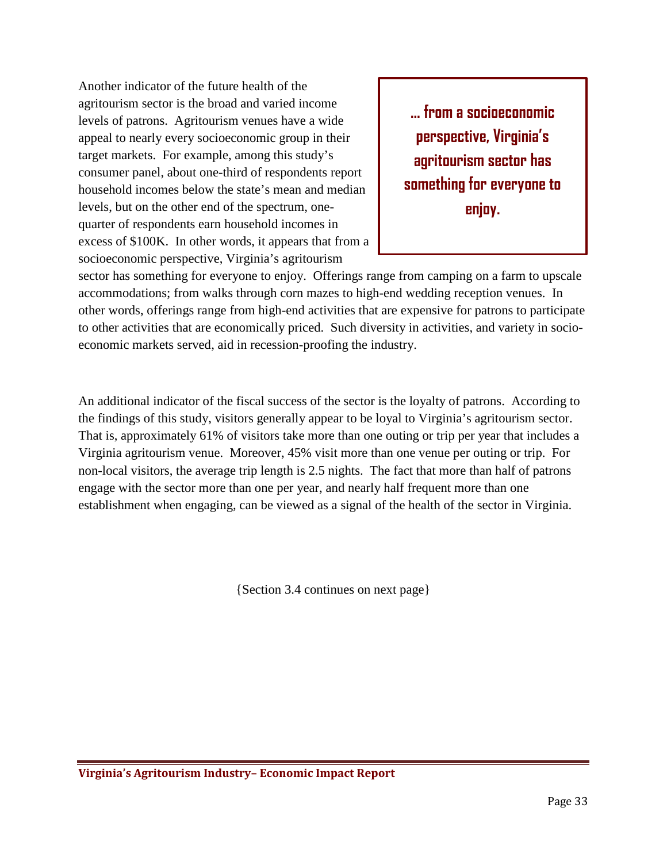Another indicator of the future health of the agritourism sector is the broad and varied income levels of patrons. Agritourism venues have a wide appeal to nearly every socioeconomic group in their target markets. For example, among this study's consumer panel, about one-third of respondents report household incomes below the state's mean and median levels, but on the other end of the spectrum, onequarter of respondents earn household incomes in excess of \$100K. In other words, it appears that from a socioeconomic perspective, Virginia's agritourism

**… from a socioeconomic perspective, Virginia's agritourism sector has something for everyone to enjoy.**

sector has something for everyone to enjoy. Offerings range from camping on a farm to upscale accommodations; from walks through corn mazes to high-end wedding reception venues. In other words, offerings range from high-end activities that are expensive for patrons to participate to other activities that are economically priced. Such diversity in activities, and variety in socioeconomic markets served, aid in recession-proofing the industry.

An additional indicator of the fiscal success of the sector is the loyalty of patrons. According to the findings of this study, visitors generally appear to be loyal to Virginia's agritourism sector. That is, approximately 61% of visitors take more than one outing or trip per year that includes a Virginia agritourism venue. Moreover, 45% visit more than one venue per outing or trip. For non-local visitors, the average trip length is 2.5 nights. The fact that more than half of patrons engage with the sector more than one per year, and nearly half frequent more than one establishment when engaging, can be viewed as a signal of the health of the sector in Virginia.

{Section 3.4 continues on next page}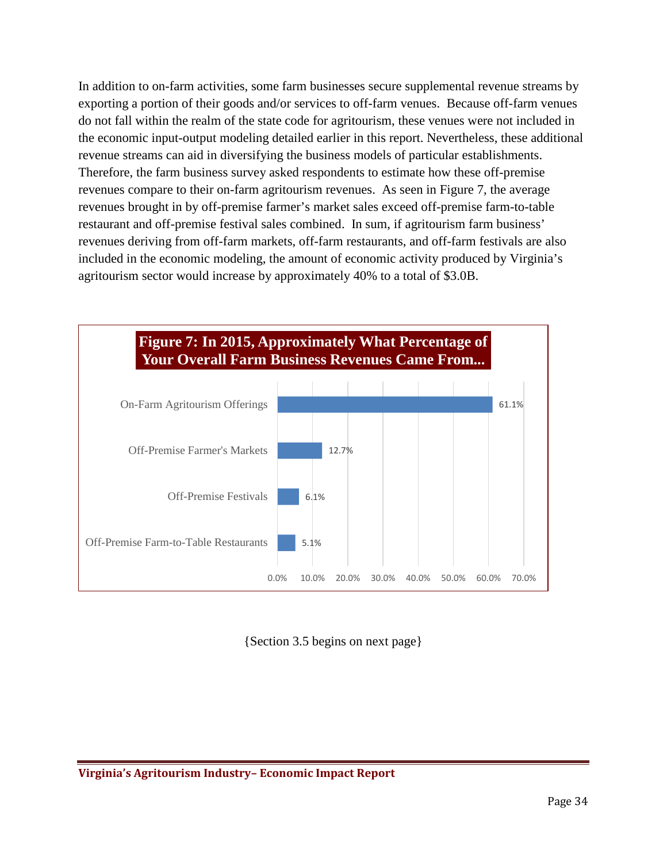In addition to on-farm activities, some farm businesses secure supplemental revenue streams by exporting a portion of their goods and/or services to off-farm venues. Because off-farm venues do not fall within the realm of the state code for agritourism, these venues were not included in the economic input-output modeling detailed earlier in this report. Nevertheless, these additional revenue streams can aid in diversifying the business models of particular establishments. Therefore, the farm business survey asked respondents to estimate how these off-premise revenues compare to their on-farm agritourism revenues. As seen in Figure 7, the average revenues brought in by off-premise farmer's market sales exceed off-premise farm-to-table restaurant and off-premise festival sales combined. In sum, if agritourism farm business' revenues deriving from off-farm markets, off-farm restaurants, and off-farm festivals are also included in the economic modeling, the amount of economic activity produced by Virginia's agritourism sector would increase by approximately 40% to a total of \$3.0B.



{Section 3.5 begins on next page}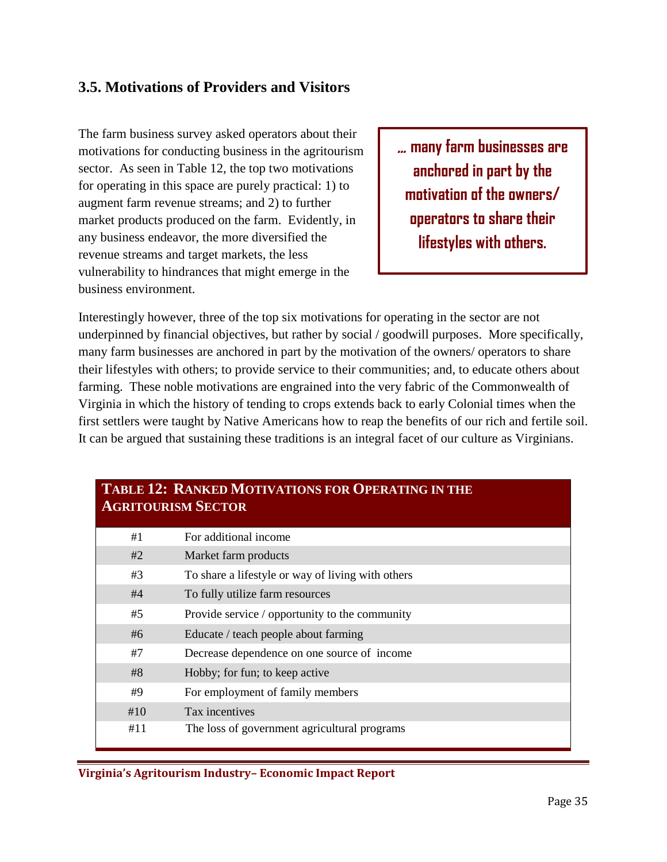# <span id="page-34-0"></span>**3.5. Motivations of Providers and Visitors**

The farm business survey asked operators about their motivations for conducting business in the agritourism sector. As seen in Table 12, the top two motivations for operating in this space are purely practical: 1) to augment farm revenue streams; and 2) to further market products produced on the farm. Evidently, in any business endeavor, the more diversified the revenue streams and target markets, the less vulnerability to hindrances that might emerge in the business environment.

… **many farm businesses are anchored in part by the motivation of the owners/ operators to share their lifestyles with others.**

Interestingly however, three of the top six motivations for operating in the sector are not underpinned by financial objectives, but rather by social / goodwill purposes. More specifically, many farm businesses are anchored in part by the motivation of the owners/ operators to share their lifestyles with others; to provide service to their communities; and, to educate others about farming. These noble motivations are engrained into the very fabric of the Commonwealth of Virginia in which the history of tending to crops extends back to early Colonial times when the first settlers were taught by Native Americans how to reap the benefits of our rich and fertile soil. It can be argued that sustaining these traditions is an integral facet of our culture as Virginians.

| <b>TABLE 12: RANKED MOTIVATIONS FOR OPERATING IN THE</b><br><b>AGRITOURISM SECTOR</b> |                                                   |  |  |
|---------------------------------------------------------------------------------------|---------------------------------------------------|--|--|
| #1                                                                                    | For additional income                             |  |  |
| #2                                                                                    | Market farm products                              |  |  |
| #3                                                                                    | To share a lifestyle or way of living with others |  |  |
| #4                                                                                    | To fully utilize farm resources                   |  |  |
| #5                                                                                    | Provide service / opportunity to the community    |  |  |
| #6                                                                                    | Educate / teach people about farming              |  |  |
| #7                                                                                    | Decrease dependence on one source of income       |  |  |
| #8                                                                                    | Hobby; for fun; to keep active                    |  |  |
| #9                                                                                    | For employment of family members                  |  |  |
| #10                                                                                   | Tax incentives                                    |  |  |
| #11                                                                                   | The loss of government agricultural programs      |  |  |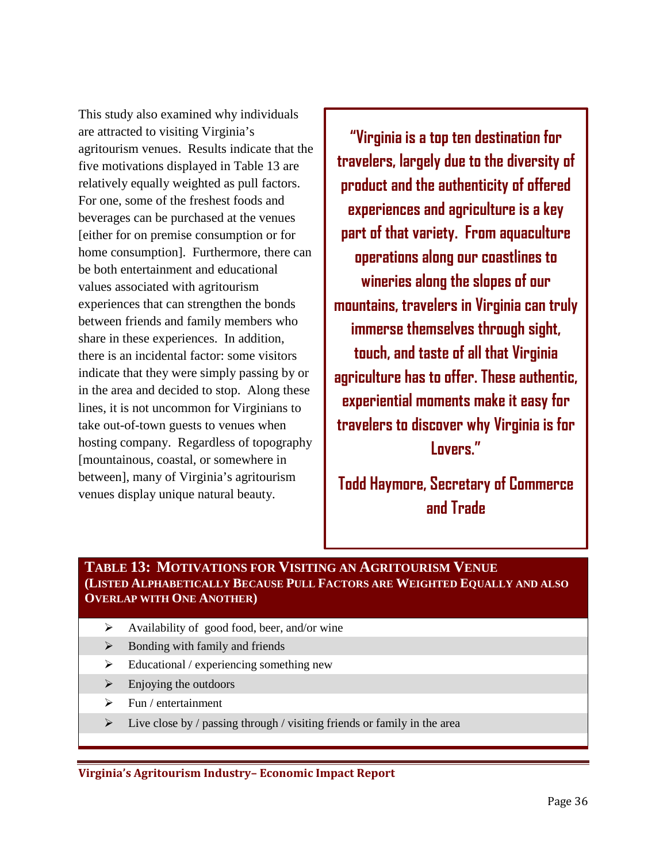This study also examined why individuals are attracted to visiting Virginia's agritourism venues. Results indicate that the five motivations displayed in Table 13 are relatively equally weighted as pull factors. For one, some of the freshest foods and beverages can be purchased at the venues [either for on premise consumption or for home consumption]. Furthermore, there can be both entertainment and educational values associated with agritourism experiences that can strengthen the bonds between friends and family members who share in these experiences. In addition, there is an incidental factor: some visitors indicate that they were simply passing by or in the area and decided to stop. Along these lines, it is not uncommon for Virginians to take out-of-town guests to venues when hosting company. Regardless of topography [mountainous, coastal, or somewhere in between], many of Virginia's agritourism venues display unique natural beauty.

**"Virginia is a top ten destination for travelers, largely due to the diversity of product and the authenticity of offered experiences and agriculture is a key part of that variety. From aquaculture operations along our coastlines to wineries along the slopes of our mountains, travelers in Virginia can truly immerse themselves through sight, touch, and taste of all that Virginia agriculture has to offer. These authentic, experiential moments make it easy for travelers to discover why Virginia is for Lovers."**

**Todd Haymore, Secretary of Commerce and Trade**

#### **TABLE 13: MOTIVATIONS FOR VISITING AN AGRITOURISM VENUE (LISTED ALPHABETICALLY BECAUSE PULL FACTORS ARE WEIGHTED EQUALLY AND ALSO OVERLAP WITH ONE ANOTHER)**

- $\blacktriangleright$  Availability of good food, beer, and/or wine
- $\triangleright$  Bonding with family and friends
- $\triangleright$  Educational / experiencing something new
- $\triangleright$  Enjoying the outdoors
- $\triangleright$  Fun / entertainment
- $\triangleright$  Live close by / passing through / visiting friends or family in the area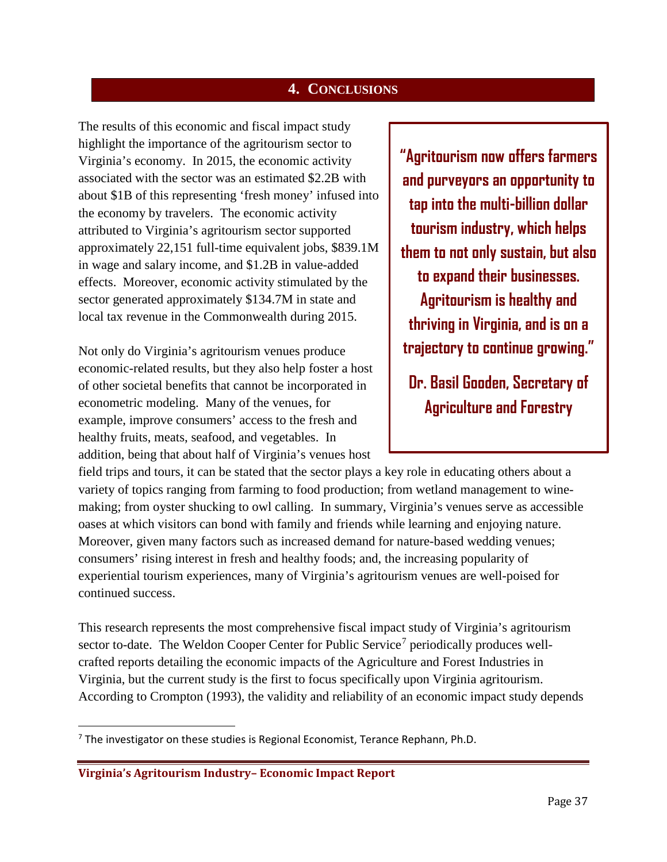#### **4. CONCLUSIONS**

<span id="page-36-0"></span>The results of this economic and fiscal impact study highlight the importance of the agritourism sector to Virginia's economy. In 2015, the economic activity associated with the sector was an estimated \$2.2B with about \$1B of this representing 'fresh money' infused into the economy by travelers. The economic activity attributed to Virginia's agritourism sector supported approximately 22,151 full-time equivalent jobs, \$839.1M in wage and salary income, and \$1.2B in value-added effects. Moreover, economic activity stimulated by the sector generated approximately \$134.7M in state and local tax revenue in the Commonwealth during 2015.

Not only do Virginia's agritourism venues produce economic-related results, but they also help foster a host of other societal benefits that cannot be incorporated in econometric modeling. Many of the venues, for example, improve consumers' access to the fresh and healthy fruits, meats, seafood, and vegetables. In addition, being that about half of Virginia's venues host

**"Agritourism now offers farmers and purveyors an opportunity to tap into the multi-billion dollar tourism industry, which helps them to not only sustain, but also to expand their businesses. Agritourism is healthy and thriving in Virginia, and is on a trajectory to continue growing."**

**Dr. Basil Gooden, Secretary of Agriculture and Forestry**

field trips and tours, it can be stated that the sector plays a key role in educating others about a variety of topics ranging from farming to food production; from wetland management to winemaking; from oyster shucking to owl calling. In summary, Virginia's venues serve as accessible oases at which visitors can bond with family and friends while learning and enjoying nature. Moreover, given many factors such as increased demand for nature-based wedding venues; consumers' rising interest in fresh and healthy foods; and, the increasing popularity of experiential tourism experiences, many of Virginia's agritourism venues are well-poised for continued success.

This research represents the most comprehensive fiscal impact study of Virginia's agritourism sector to-date. The Weldon Cooper Center for Public Service<sup>[7](#page-36-1)</sup> periodically produces wellcrafted reports detailing the economic impacts of the Agriculture and Forest Industries in Virginia, but the current study is the first to focus specifically upon Virginia agritourism. According to Crompton (1993), the validity and reliability of an economic impact study depends

<span id="page-36-1"></span> $7$  The investigator on these studies is Regional Economist, Terance Rephann, Ph.D.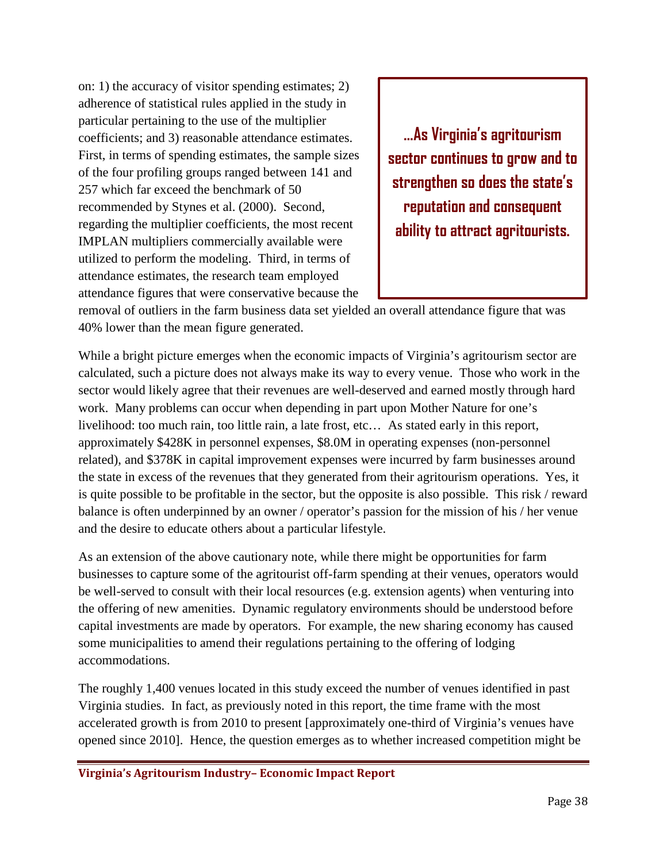on: 1) the accuracy of visitor spending estimates; 2) adherence of statistical rules applied in the study in particular pertaining to the use of the multiplier coefficients; and 3) reasonable attendance estimates. First, in terms of spending estimates, the sample sizes of the four profiling groups ranged between 141 and 257 which far exceed the benchmark of 50 recommended by Stynes et al. (2000). Second, regarding the multiplier coefficients, the most recent IMPLAN multipliers commercially available were utilized to perform the modeling. Third, in terms of attendance estimates, the research team employed attendance figures that were conservative because the

**…As Virginia's agritourism sector continues to grow and to strengthen so does the state's reputation and consequent ability to attract agritourists.**

removal of outliers in the farm business data set yielded an overall attendance figure that was 40% lower than the mean figure generated.

While a bright picture emerges when the economic impacts of Virginia's agritourism sector are calculated, such a picture does not always make its way to every venue. Those who work in the sector would likely agree that their revenues are well-deserved and earned mostly through hard work. Many problems can occur when depending in part upon Mother Nature for one's livelihood: too much rain, too little rain, a late frost, etc… As stated early in this report, approximately \$428K in personnel expenses, \$8.0M in operating expenses (non-personnel related), and \$378K in capital improvement expenses were incurred by farm businesses around the state in excess of the revenues that they generated from their agritourism operations. Yes, it is quite possible to be profitable in the sector, but the opposite is also possible. This risk / reward balance is often underpinned by an owner / operator's passion for the mission of his / her venue and the desire to educate others about a particular lifestyle.

As an extension of the above cautionary note, while there might be opportunities for farm businesses to capture some of the agritourist off-farm spending at their venues, operators would be well-served to consult with their local resources (e.g. extension agents) when venturing into the offering of new amenities. Dynamic regulatory environments should be understood before capital investments are made by operators. For example, the new sharing economy has caused some municipalities to amend their regulations pertaining to the offering of lodging accommodations.

The roughly 1,400 venues located in this study exceed the number of venues identified in past Virginia studies. In fact, as previously noted in this report, the time frame with the most accelerated growth is from 2010 to present [approximately one-third of Virginia's venues have opened since 2010]. Hence, the question emerges as to whether increased competition might be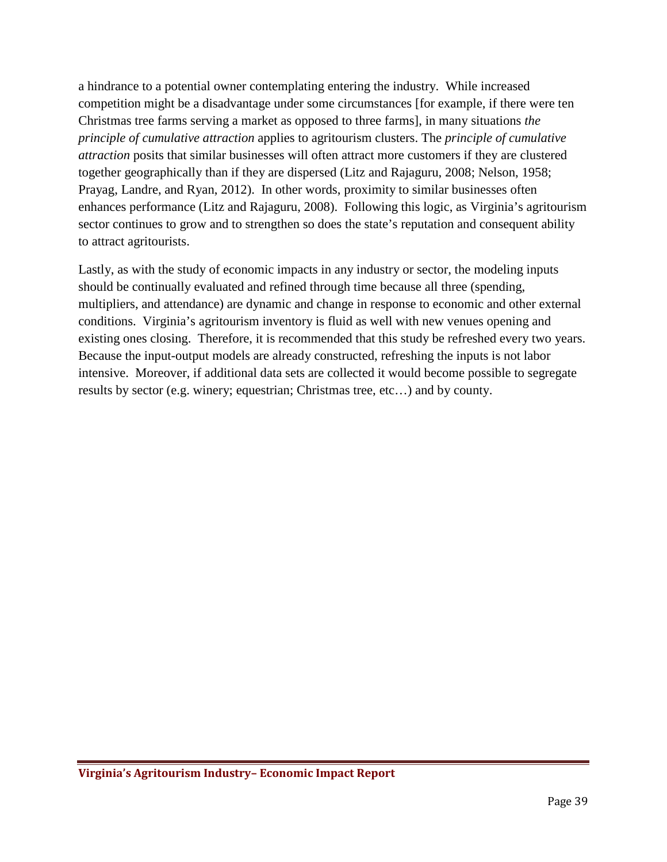a hindrance to a potential owner contemplating entering the industry. While increased competition might be a disadvantage under some circumstances [for example, if there were ten Christmas tree farms serving a market as opposed to three farms], in many situations *the principle of cumulative attraction* applies to agritourism clusters. The *principle of cumulative attraction* posits that similar businesses will often attract more customers if they are clustered together geographically than if they are dispersed (Litz and Rajaguru, 2008; Nelson, 1958; Prayag, Landre, and Ryan, 2012). In other words, proximity to similar businesses often enhances performance (Litz and Rajaguru, 2008). Following this logic, as Virginia's agritourism sector continues to grow and to strengthen so does the state's reputation and consequent ability to attract agritourists.

Lastly, as with the study of economic impacts in any industry or sector, the modeling inputs should be continually evaluated and refined through time because all three (spending, multipliers, and attendance) are dynamic and change in response to economic and other external conditions. Virginia's agritourism inventory is fluid as well with new venues opening and existing ones closing. Therefore, it is recommended that this study be refreshed every two years. Because the input-output models are already constructed, refreshing the inputs is not labor intensive. Moreover, if additional data sets are collected it would become possible to segregate results by sector (e.g. winery; equestrian; Christmas tree, etc…) and by county.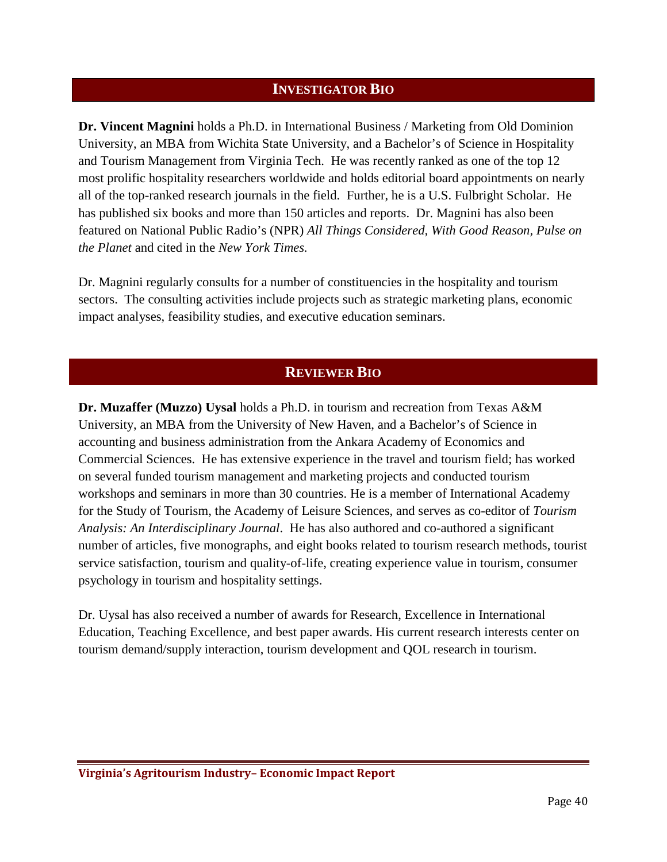#### **INVESTIGATOR BIO**

<span id="page-39-0"></span>**Dr. Vincent Magnini** holds a Ph.D. in International Business / Marketing from Old Dominion University, an MBA from Wichita State University, and a Bachelor's of Science in Hospitality and Tourism Management from Virginia Tech. He was recently ranked as one of the top 12 most prolific hospitality researchers worldwide and holds editorial board appointments on nearly all of the top-ranked research journals in the field. Further, he is a U.S. Fulbright Scholar. He has published six books and more than 150 articles and reports. Dr. Magnini has also been featured on National Public Radio's (NPR) *All Things Considered, With Good Reason, Pulse on the Planet* and cited in the *New York Times.*

Dr. Magnini regularly consults for a number of constituencies in the hospitality and tourism sectors. The consulting activities include projects such as strategic marketing plans, economic impact analyses, feasibility studies, and executive education seminars.

#### **REVIEWER BIO**

**Dr. Muzaffer (Muzzo) Uysal** holds a Ph.D. in tourism and recreation from Texas A&M University, an MBA from the University of New Haven, and a Bachelor's of Science in accounting and business administration from the Ankara Academy of Economics and Commercial Sciences. He has extensive experience in the travel and tourism field; has worked on several funded tourism management and marketing projects and conducted tourism workshops and seminars in more than 30 countries. He is a member of International Academy for the Study of Tourism, the Academy of Leisure Sciences, and serves as co-editor of *Tourism Analysis: An Interdisciplinary Journal*. He has also authored and co-authored a significant number of articles, five monographs, and eight books related to tourism research methods, tourist service satisfaction, tourism and quality-of-life, creating experience value in tourism, consumer psychology in tourism and hospitality settings.

Dr. Uysal has also received a number of awards for Research, Excellence in International Education, Teaching Excellence, and best paper awards. His current research interests center on tourism demand/supply interaction, tourism development and QOL research in tourism.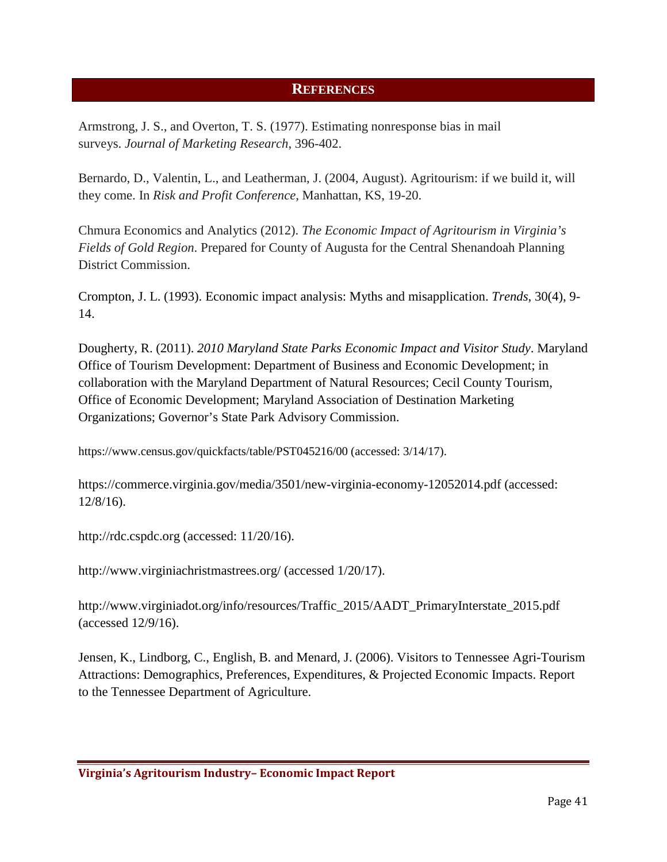#### **REFERENCES**

<span id="page-40-0"></span>Armstrong, J. S., and Overton, T. S. (1977). Estimating nonresponse bias in mail surveys. *Journal of Marketing Research*, 396-402.

Bernardo, D., Valentin, L., and Leatherman, J. (2004, August). Agritourism: if we build it, will they come. In *Risk and Profit Conference,* Manhattan, KS, 19-20.

Chmura Economics and Analytics (2012). *The Economic Impact of Agritourism in Virginia's Fields of Gold Region*. Prepared for County of Augusta for the Central Shenandoah Planning District Commission.

Crompton, J. L. (1993). Economic impact analysis: Myths and misapplication. *Trends*, 30(4), 9- 14.

Dougherty, R. (2011). *2010 Maryland State Parks Economic Impact and Visitor Study*. Maryland Office of Tourism Development: Department of Business and Economic Development; in collaboration with the Maryland Department of Natural Resources; Cecil County Tourism, Office of Economic Development; Maryland Association of Destination Marketing Organizations; Governor's State Park Advisory Commission.

<https://www.census.gov/quickfacts/table/PST045216/00> (accessed: 3/14/17).

<https://commerce.virginia.gov/media/3501/new-virginia-economy-12052014.pdf> (accessed: 12/8/16).

http://rdc.cspdc.org (accessed: 11/20/16).

<http://www.virginiachristmastrees.org/> (accessed 1/20/17).

[http://www.virginiadot.org/info/resources/Traffic\\_2015/AADT\\_PrimaryInterstate\\_2015.pdf](http://www.virginiadot.org/info/resources/Traffic_2015/AADT_PrimaryInterstate_2015.pdf) (accessed 12/9/16).

Jensen, K., Lindborg, C., English, B. and Menard, J. (2006). Visitors to Tennessee Agri-Tourism Attractions: Demographics, Preferences, Expenditures, & Projected Economic Impacts. Report to the Tennessee Department of Agriculture.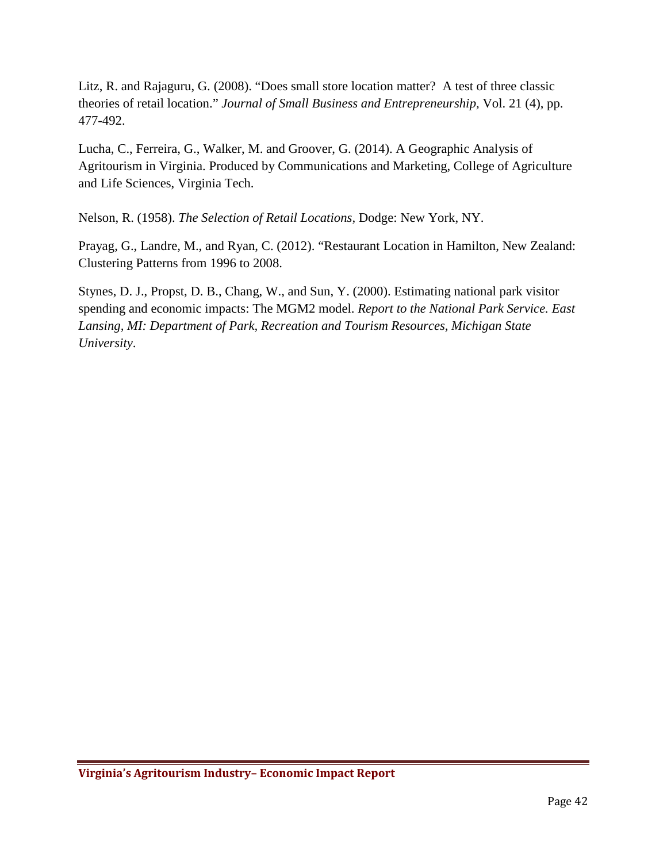Litz, R. and Rajaguru, G. (2008). "Does small store location matter? A test of three classic theories of retail location." *Journal of Small Business and Entrepreneurship,* Vol. 21 (4), pp. 477-492.

Lucha, C., Ferreira, G., Walker, M. and Groover, G. (2014). A Geographic Analysis of Agritourism in Virginia. Produced by Communications and Marketing, College of Agriculture and Life Sciences, Virginia Tech.

Nelson, R. (1958). *The Selection of Retail Locations,* Dodge: New York, NY.

Prayag, G., Landre, M., and Ryan, C. (2012). "Restaurant Location in Hamilton, New Zealand: Clustering Patterns from 1996 to 2008.

Stynes, D. J., Propst, D. B., Chang, W., and Sun, Y. (2000). Estimating national park visitor spending and economic impacts: The MGM2 model. *Report to the National Park Service. East Lansing, MI: Department of Park, Recreation and Tourism Resources, Michigan State University*.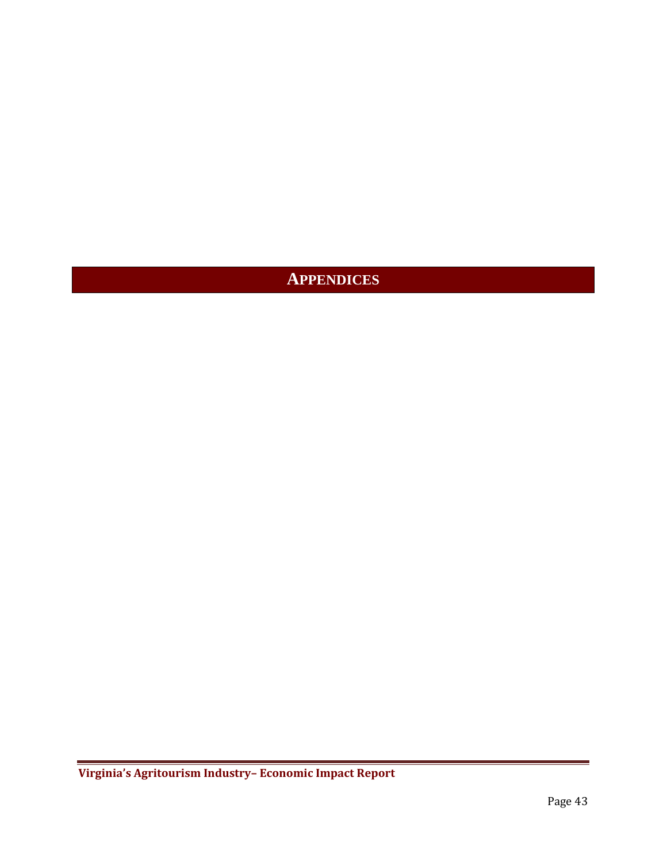# <span id="page-42-0"></span>**APPENDICES**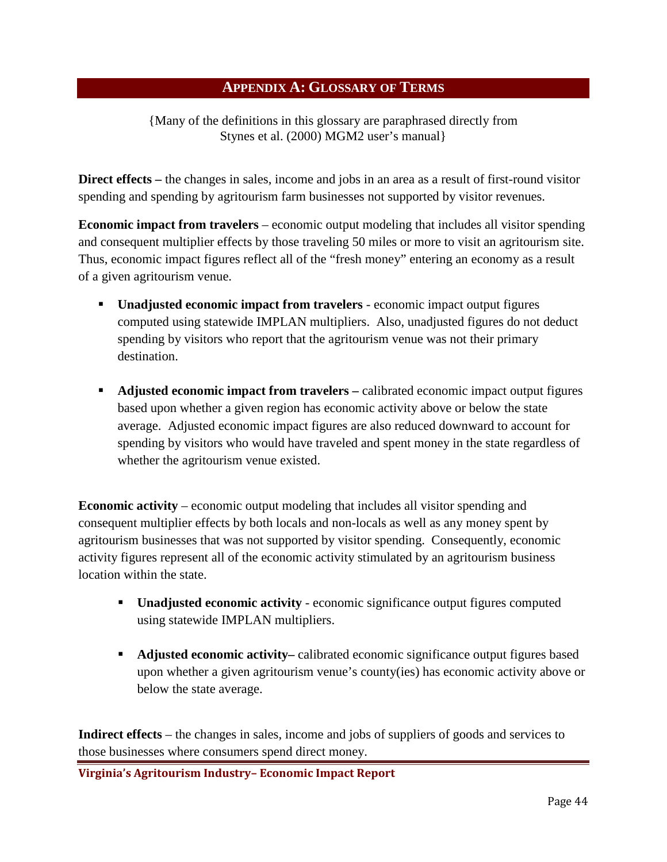#### **APPENDIX A: GLOSSARY OF TERMS**

<span id="page-43-0"></span>{Many of the definitions in this glossary are paraphrased directly from Stynes et al. (2000) MGM2 user's manual}

**Direct effects** – the changes in sales, income and jobs in an area as a result of first-round visitor spending and spending by agritourism farm businesses not supported by visitor revenues.

**Economic impact from travelers** – economic output modeling that includes all visitor spending and consequent multiplier effects by those traveling 50 miles or more to visit an agritourism site. Thus, economic impact figures reflect all of the "fresh money" entering an economy as a result of a given agritourism venue.

- **Unadjusted economic impact from travelers** economic impact output figures computed using statewide IMPLAN multipliers. Also, unadjusted figures do not deduct spending by visitors who report that the agritourism venue was not their primary destination.
- **Adjusted economic impact from travelers** calibrated economic impact output figures based upon whether a given region has economic activity above or below the state average. Adjusted economic impact figures are also reduced downward to account for spending by visitors who would have traveled and spent money in the state regardless of whether the agritourism venue existed.

**Economic activity** – economic output modeling that includes all visitor spending and consequent multiplier effects by both locals and non-locals as well as any money spent by agritourism businesses that was not supported by visitor spending. Consequently, economic activity figures represent all of the economic activity stimulated by an agritourism business location within the state.

- **Unadjusted economic activity** economic significance output figures computed using statewide IMPLAN multipliers.
- **Adjusted economic activity–** calibrated economic significance output figures based upon whether a given agritourism venue's county(ies) has economic activity above or below the state average.

**Indirect effects** – the changes in sales, income and jobs of suppliers of goods and services to those businesses where consumers spend direct money.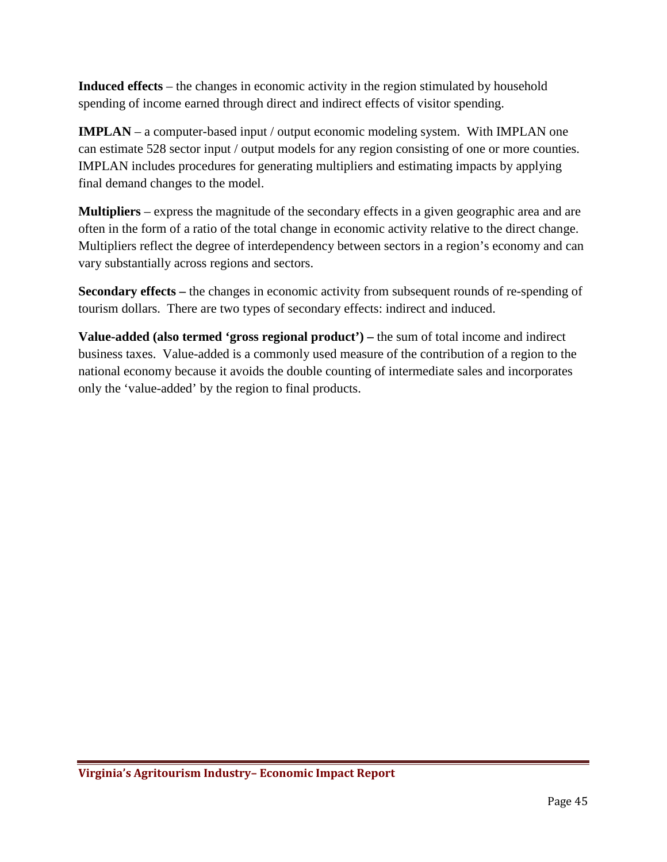**Induced effects** – the changes in economic activity in the region stimulated by household spending of income earned through direct and indirect effects of visitor spending.

**IMPLAN** – a computer-based input / output economic modeling system. With IMPLAN one can estimate 528 sector input / output models for any region consisting of one or more counties. IMPLAN includes procedures for generating multipliers and estimating impacts by applying final demand changes to the model.

**Multipliers** – express the magnitude of the secondary effects in a given geographic area and are often in the form of a ratio of the total change in economic activity relative to the direct change. Multipliers reflect the degree of interdependency between sectors in a region's economy and can vary substantially across regions and sectors.

**Secondary effects –** the changes in economic activity from subsequent rounds of re-spending of tourism dollars. There are two types of secondary effects: indirect and induced.

**Value-added (also termed 'gross regional product') –** the sum of total income and indirect business taxes. Value-added is a commonly used measure of the contribution of a region to the national economy because it avoids the double counting of intermediate sales and incorporates only the 'value-added' by the region to final products.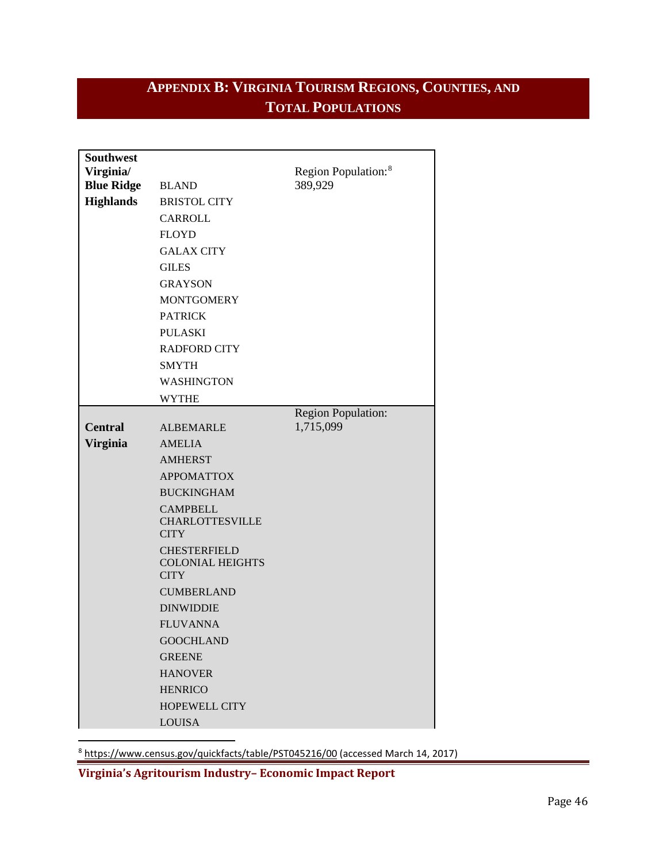# <span id="page-45-0"></span>**APPENDIX B: VIRGINIA TOURISM REGIONS, COUNTIES, AND TOTAL POPULATIONS**

| <b>Southwest</b>  |                                       |                                 |
|-------------------|---------------------------------------|---------------------------------|
| Virginia/         |                                       | Region Population: <sup>8</sup> |
| <b>Blue Ridge</b> | <b>BLAND</b>                          | 389,929                         |
| <b>Highlands</b>  | <b>BRISTOL CITY</b>                   |                                 |
|                   | <b>CARROLL</b>                        |                                 |
|                   | <b>FLOYD</b>                          |                                 |
|                   | <b>GALAX CITY</b>                     |                                 |
|                   | <b>GILES</b>                          |                                 |
|                   | <b>GRAYSON</b>                        |                                 |
|                   | <b>MONTGOMERY</b>                     |                                 |
|                   | <b>PATRICK</b>                        |                                 |
|                   | <b>PULASKI</b>                        |                                 |
|                   | <b>RADFORD CITY</b>                   |                                 |
|                   | <b>SMYTH</b>                          |                                 |
|                   | <b>WASHINGTON</b>                     |                                 |
|                   | <b>WYTHE</b>                          |                                 |
|                   |                                       | <b>Region Population:</b>       |
| <b>Central</b>    | <b>ALBEMARLE</b>                      | 1,715,099                       |
| <b>Virginia</b>   | <b>AMELIA</b>                         |                                 |
|                   | <b>AMHERST</b>                        |                                 |
|                   | <b>APPOMATTOX</b>                     |                                 |
|                   | <b>BUCKINGHAM</b>                     |                                 |
|                   | <b>CAMPBELL</b>                       |                                 |
|                   | <b>CHARLOTTESVILLE</b><br><b>CITY</b> |                                 |
|                   | <b>CHESTERFIELD</b>                   |                                 |
|                   | <b>COLONIAL HEIGHTS</b>               |                                 |
|                   | <b>CITY</b>                           |                                 |
|                   | <b>CUMBERLAND</b>                     |                                 |
|                   | <b>DINWIDDIE</b>                      |                                 |
|                   | <b>FLUVANNA</b>                       |                                 |
|                   | <b>GOOCHLAND</b>                      |                                 |
|                   | <b>GREENE</b>                         |                                 |
|                   | <b>HANOVER</b>                        |                                 |
|                   | <b>HENRICO</b>                        |                                 |
|                   | <b>HOPEWELL CITY</b>                  |                                 |
|                   | <b>LOUISA</b>                         |                                 |

<span id="page-45-1"></span>8 <https://www.census.gov/quickfacts/table/PST045216/00> (accessed March 14, 2017)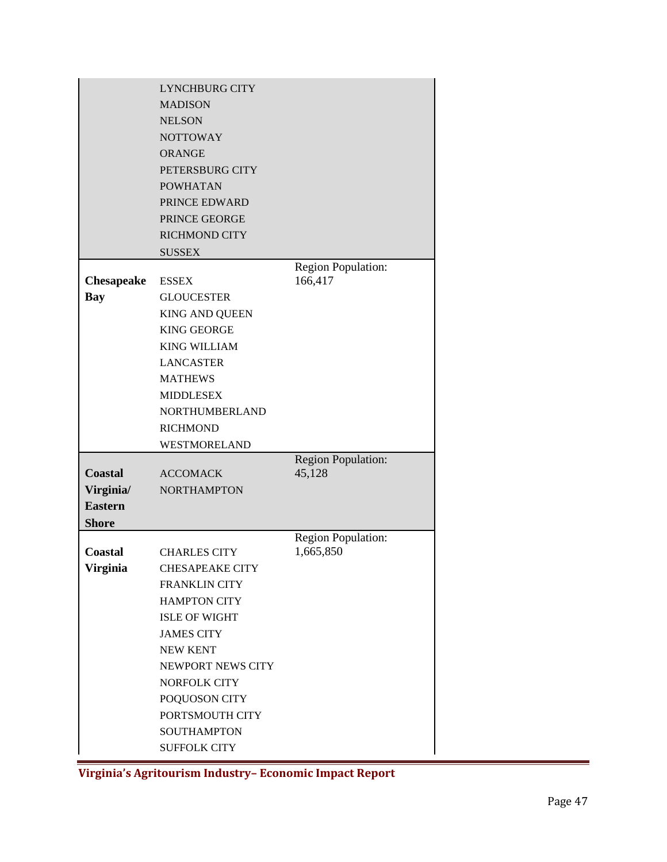| <b>MADISON</b><br><b>NELSON</b><br><b>NOTTOWAY</b><br><b>ORANGE</b><br>PETERSBURG CITY<br><b>POWHATAN</b><br>PRINCE EDWARD<br>PRINCE GEORGE<br><b>RICHMOND CITY</b><br><b>SUSSEX</b><br><b>Region Population:</b><br>166,417<br><b>Chesapeake</b><br><b>ESSEX</b><br>Bay<br><b>GLOUCESTER</b><br><b>KING AND QUEEN</b><br><b>KING GEORGE</b><br><b>KING WILLIAM</b><br><b>LANCASTER</b><br><b>MATHEWS</b><br><b>MIDDLESEX</b><br><b>NORTHUMBERLAND</b><br><b>RICHMOND</b><br>WESTMORELAND<br><b>Region Population:</b><br>45,128<br><b>Coastal</b><br><b>ACCOMACK</b><br>Virginia/<br><b>NORTHAMPTON</b><br><b>Eastern</b><br><b>Shore</b><br>Region Population:<br>1,665,850<br>Coastal<br><b>CHARLES CITY</b><br>Virginia<br><b>CHESAPEAKE CITY</b><br><b>FRANKLIN CITY</b><br><b>HAMPTON CITY</b><br><b>ISLE OF WIGHT</b><br><b>JAMES CITY</b><br><b>NEW KENT</b><br>NEWPORT NEWS CITY<br><b>NORFOLK CITY</b> | LYNCHBURG CITY |  |
|------------------------------------------------------------------------------------------------------------------------------------------------------------------------------------------------------------------------------------------------------------------------------------------------------------------------------------------------------------------------------------------------------------------------------------------------------------------------------------------------------------------------------------------------------------------------------------------------------------------------------------------------------------------------------------------------------------------------------------------------------------------------------------------------------------------------------------------------------------------------------------------------------------------|----------------|--|
|                                                                                                                                                                                                                                                                                                                                                                                                                                                                                                                                                                                                                                                                                                                                                                                                                                                                                                                  |                |  |
|                                                                                                                                                                                                                                                                                                                                                                                                                                                                                                                                                                                                                                                                                                                                                                                                                                                                                                                  |                |  |
|                                                                                                                                                                                                                                                                                                                                                                                                                                                                                                                                                                                                                                                                                                                                                                                                                                                                                                                  |                |  |
|                                                                                                                                                                                                                                                                                                                                                                                                                                                                                                                                                                                                                                                                                                                                                                                                                                                                                                                  |                |  |
|                                                                                                                                                                                                                                                                                                                                                                                                                                                                                                                                                                                                                                                                                                                                                                                                                                                                                                                  |                |  |
|                                                                                                                                                                                                                                                                                                                                                                                                                                                                                                                                                                                                                                                                                                                                                                                                                                                                                                                  |                |  |
|                                                                                                                                                                                                                                                                                                                                                                                                                                                                                                                                                                                                                                                                                                                                                                                                                                                                                                                  |                |  |
|                                                                                                                                                                                                                                                                                                                                                                                                                                                                                                                                                                                                                                                                                                                                                                                                                                                                                                                  |                |  |
|                                                                                                                                                                                                                                                                                                                                                                                                                                                                                                                                                                                                                                                                                                                                                                                                                                                                                                                  |                |  |
|                                                                                                                                                                                                                                                                                                                                                                                                                                                                                                                                                                                                                                                                                                                                                                                                                                                                                                                  |                |  |
|                                                                                                                                                                                                                                                                                                                                                                                                                                                                                                                                                                                                                                                                                                                                                                                                                                                                                                                  |                |  |
|                                                                                                                                                                                                                                                                                                                                                                                                                                                                                                                                                                                                                                                                                                                                                                                                                                                                                                                  |                |  |
|                                                                                                                                                                                                                                                                                                                                                                                                                                                                                                                                                                                                                                                                                                                                                                                                                                                                                                                  |                |  |
|                                                                                                                                                                                                                                                                                                                                                                                                                                                                                                                                                                                                                                                                                                                                                                                                                                                                                                                  |                |  |
|                                                                                                                                                                                                                                                                                                                                                                                                                                                                                                                                                                                                                                                                                                                                                                                                                                                                                                                  |                |  |
|                                                                                                                                                                                                                                                                                                                                                                                                                                                                                                                                                                                                                                                                                                                                                                                                                                                                                                                  |                |  |
|                                                                                                                                                                                                                                                                                                                                                                                                                                                                                                                                                                                                                                                                                                                                                                                                                                                                                                                  |                |  |
|                                                                                                                                                                                                                                                                                                                                                                                                                                                                                                                                                                                                                                                                                                                                                                                                                                                                                                                  |                |  |
|                                                                                                                                                                                                                                                                                                                                                                                                                                                                                                                                                                                                                                                                                                                                                                                                                                                                                                                  |                |  |
|                                                                                                                                                                                                                                                                                                                                                                                                                                                                                                                                                                                                                                                                                                                                                                                                                                                                                                                  |                |  |
|                                                                                                                                                                                                                                                                                                                                                                                                                                                                                                                                                                                                                                                                                                                                                                                                                                                                                                                  |                |  |
|                                                                                                                                                                                                                                                                                                                                                                                                                                                                                                                                                                                                                                                                                                                                                                                                                                                                                                                  |                |  |
|                                                                                                                                                                                                                                                                                                                                                                                                                                                                                                                                                                                                                                                                                                                                                                                                                                                                                                                  |                |  |
|                                                                                                                                                                                                                                                                                                                                                                                                                                                                                                                                                                                                                                                                                                                                                                                                                                                                                                                  |                |  |
|                                                                                                                                                                                                                                                                                                                                                                                                                                                                                                                                                                                                                                                                                                                                                                                                                                                                                                                  |                |  |
|                                                                                                                                                                                                                                                                                                                                                                                                                                                                                                                                                                                                                                                                                                                                                                                                                                                                                                                  |                |  |
|                                                                                                                                                                                                                                                                                                                                                                                                                                                                                                                                                                                                                                                                                                                                                                                                                                                                                                                  |                |  |
|                                                                                                                                                                                                                                                                                                                                                                                                                                                                                                                                                                                                                                                                                                                                                                                                                                                                                                                  |                |  |
|                                                                                                                                                                                                                                                                                                                                                                                                                                                                                                                                                                                                                                                                                                                                                                                                                                                                                                                  |                |  |
|                                                                                                                                                                                                                                                                                                                                                                                                                                                                                                                                                                                                                                                                                                                                                                                                                                                                                                                  |                |  |
|                                                                                                                                                                                                                                                                                                                                                                                                                                                                                                                                                                                                                                                                                                                                                                                                                                                                                                                  |                |  |
|                                                                                                                                                                                                                                                                                                                                                                                                                                                                                                                                                                                                                                                                                                                                                                                                                                                                                                                  |                |  |
|                                                                                                                                                                                                                                                                                                                                                                                                                                                                                                                                                                                                                                                                                                                                                                                                                                                                                                                  |                |  |
|                                                                                                                                                                                                                                                                                                                                                                                                                                                                                                                                                                                                                                                                                                                                                                                                                                                                                                                  |                |  |
|                                                                                                                                                                                                                                                                                                                                                                                                                                                                                                                                                                                                                                                                                                                                                                                                                                                                                                                  |                |  |
|                                                                                                                                                                                                                                                                                                                                                                                                                                                                                                                                                                                                                                                                                                                                                                                                                                                                                                                  |                |  |
| POQUOSON CITY                                                                                                                                                                                                                                                                                                                                                                                                                                                                                                                                                                                                                                                                                                                                                                                                                                                                                                    |                |  |
| PORTSMOUTH CITY                                                                                                                                                                                                                                                                                                                                                                                                                                                                                                                                                                                                                                                                                                                                                                                                                                                                                                  |                |  |
| <b>SOUTHAMPTON</b>                                                                                                                                                                                                                                                                                                                                                                                                                                                                                                                                                                                                                                                                                                                                                                                                                                                                                               |                |  |
| <b>SUFFOLK CITY</b>                                                                                                                                                                                                                                                                                                                                                                                                                                                                                                                                                                                                                                                                                                                                                                                                                                                                                              |                |  |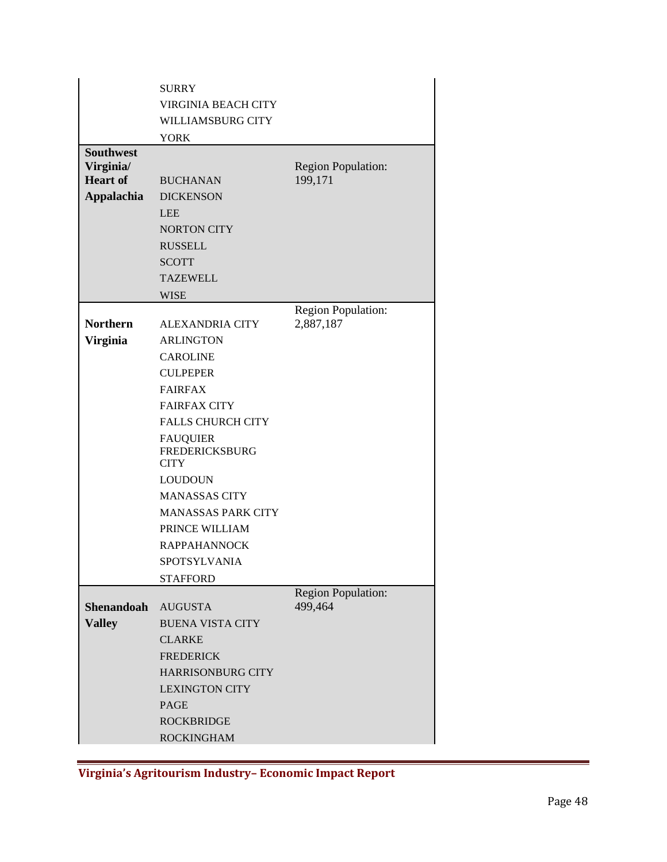|                               | <b>SURRY</b><br><b>VIRGINIA BEACH CITY</b>              |                                      |
|-------------------------------|---------------------------------------------------------|--------------------------------------|
|                               | <b>WILLIAMSBURG CITY</b>                                |                                      |
|                               | <b>YORK</b>                                             |                                      |
| <b>Southwest</b><br>Virginia/ |                                                         | <b>Region Population:</b>            |
| <b>Heart of</b>               | <b>BUCHANAN</b>                                         | 199,171                              |
| <b>Appalachia</b>             | <b>DICKENSON</b>                                        |                                      |
|                               | <b>LEE</b>                                              |                                      |
|                               | <b>NORTON CITY</b>                                      |                                      |
|                               | <b>RUSSELL</b>                                          |                                      |
|                               | <b>SCOTT</b>                                            |                                      |
|                               | <b>TAZEWELL</b>                                         |                                      |
|                               | <b>WISE</b>                                             |                                      |
|                               |                                                         | <b>Region Population:</b>            |
| <b>Northern</b>               | <b>ALEXANDRIA CITY</b>                                  | 2,887,187                            |
| <b>Virginia</b>               | <b>ARLINGTON</b>                                        |                                      |
|                               | <b>CAROLINE</b>                                         |                                      |
|                               | <b>CULPEPER</b>                                         |                                      |
|                               | <b>FAIRFAX</b>                                          |                                      |
|                               | <b>FAIRFAX CITY</b><br><b>FALLS CHURCH CITY</b>         |                                      |
|                               |                                                         |                                      |
|                               | <b>FAUQUIER</b><br><b>FREDERICKSBURG</b><br><b>CITY</b> |                                      |
|                               | <b>LOUDOUN</b>                                          |                                      |
|                               | <b>MANASSAS CITY</b>                                    |                                      |
|                               | <b>MANASSAS PARK CITY</b>                               |                                      |
|                               | PRINCE WILLIAM                                          |                                      |
|                               | <b>RAPPAHANNOCK</b>                                     |                                      |
|                               | SPOTSYLVANIA                                            |                                      |
|                               | <b>STAFFORD</b>                                         |                                      |
| <b>Shenandoah</b>             |                                                         | <b>Region Population:</b><br>499,464 |
|                               | <b>AUGUSTA</b>                                          |                                      |
| <b>Valley</b>                 | <b>BUENA VISTA CITY</b><br><b>CLARKE</b>                |                                      |
|                               | <b>FREDERICK</b>                                        |                                      |
|                               | <b>HARRISONBURG CITY</b>                                |                                      |
|                               | <b>LEXINGTON CITY</b>                                   |                                      |
|                               | <b>PAGE</b>                                             |                                      |
|                               | <b>ROCKBRIDGE</b>                                       |                                      |
|                               | <b>ROCKINGHAM</b>                                       |                                      |
|                               |                                                         |                                      |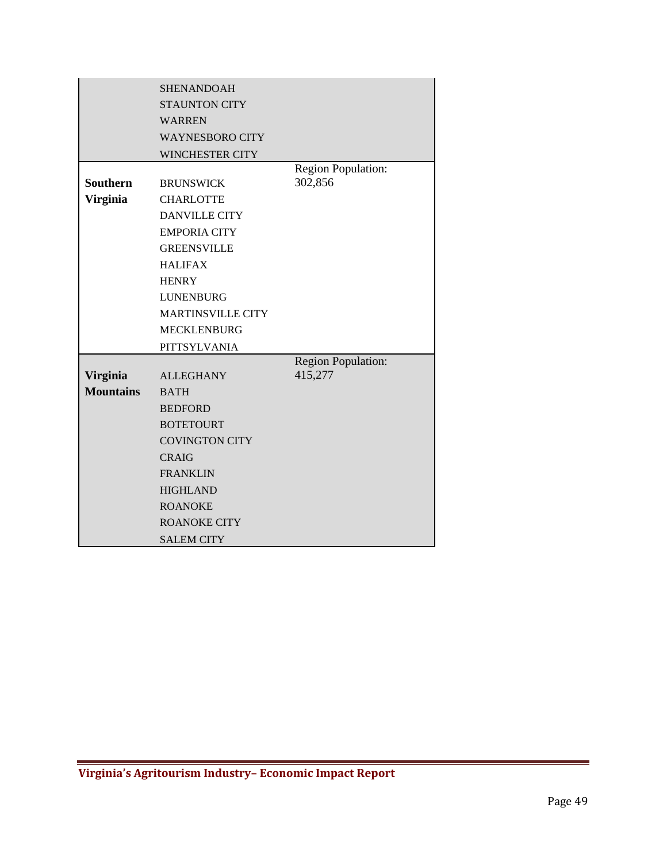|                  | <b>SHENANDOAH</b>        |                           |
|------------------|--------------------------|---------------------------|
|                  | <b>STAUNTON CITY</b>     |                           |
|                  | <b>WARREN</b>            |                           |
|                  | <b>WAYNESBORO CITY</b>   |                           |
|                  | <b>WINCHESTER CITY</b>   |                           |
|                  |                          | Region Population:        |
| <b>Southern</b>  | <b>BRUNSWICK</b>         | 302,856                   |
| <b>Virginia</b>  | <b>CHARLOTTE</b>         |                           |
|                  | <b>DANVILLE CITY</b>     |                           |
|                  | <b>EMPORIA CITY</b>      |                           |
|                  | <b>GREENSVILLE</b>       |                           |
|                  | <b>HALIFAX</b>           |                           |
|                  | <b>HENRY</b>             |                           |
|                  | <b>LUNENBURG</b>         |                           |
|                  | <b>MARTINSVILLE CITY</b> |                           |
|                  | <b>MECKLENBURG</b>       |                           |
|                  | PITTSYLVANIA             |                           |
|                  |                          | <b>Region Population:</b> |
| <b>Virginia</b>  | <b>ALLEGHANY</b>         | 415,277                   |
| <b>Mountains</b> | <b>BATH</b>              |                           |
|                  | <b>BEDFORD</b>           |                           |
|                  | <b>BOTETOURT</b>         |                           |
|                  | <b>COVINGTON CITY</b>    |                           |
|                  | <b>CRAIG</b>             |                           |
|                  | <b>FRANKLIN</b>          |                           |
|                  | <b>HIGHLAND</b>          |                           |
|                  | <b>ROANOKE</b>           |                           |
|                  | <b>ROANOKE CITY</b>      |                           |
|                  | <b>SALEM CITY</b>        |                           |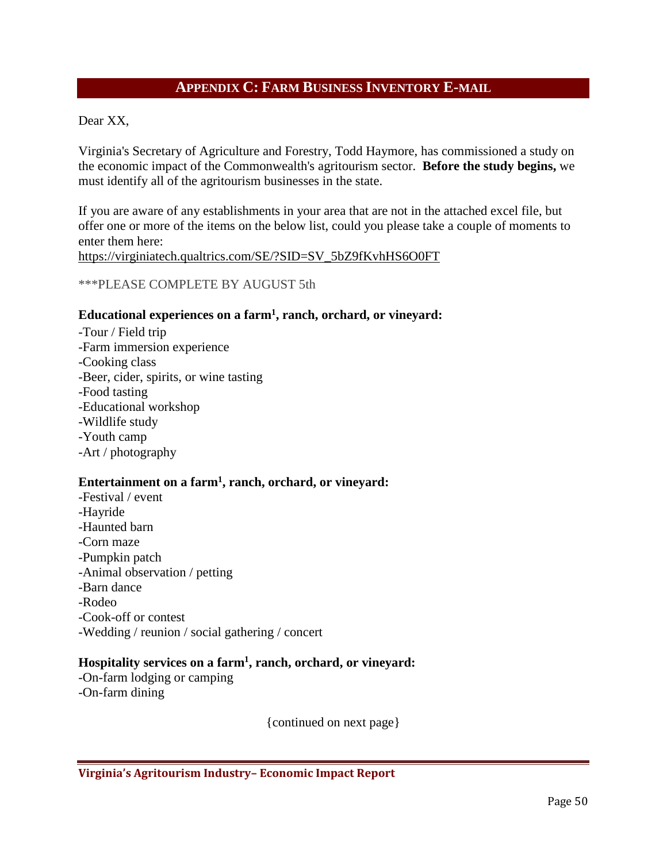#### **APPENDIX C: FARM BUSINESS INVENTORY E-MAIL**

<span id="page-49-0"></span>Dear XX,

Virginia's Secretary of Agriculture and Forestry, Todd Haymore, has commissioned a study on the economic impact of the Commonwealth's agritourism sector. **Before the study begins,** we must identify all of the agritourism businesses in the state.

If you are aware of any establishments in your area that are not in the attached excel file, but offer one or more of the items on the below list, could you please take a couple of moments to enter them here:

[https://virginiatech.qualtrics.com/SE/?SID=SV\\_5bZ9fKvhHS6O0FT](https://virginiatech.qualtrics.com/SE/?SID=SV_5bZ9fKvhHS6O0FT)

\*\*\*PLEASE COMPLETE BY AUGUST 5th

#### **Educational experiences on a farm1, ranch, orchard, or vineyard:**

-Tour / Field trip -Farm immersion experience -Cooking class -Beer, cider, spirits, or wine tasting -Food tasting -Educational workshop -Wildlife study -Youth camp -Art / photography

#### **Entertainment on a farm1, ranch, orchard, or vineyard:**

-Festival / event -Hayride -Haunted barn -Corn maze -Pumpkin patch -Animal observation / petting -Barn dance -Rodeo -Cook-off or contest -Wedding / reunion / social gathering / concert

#### **Hospitality services on a farm1, ranch, orchard, or vineyard:**

-On-farm lodging or camping -On-farm dining

{continued on next page}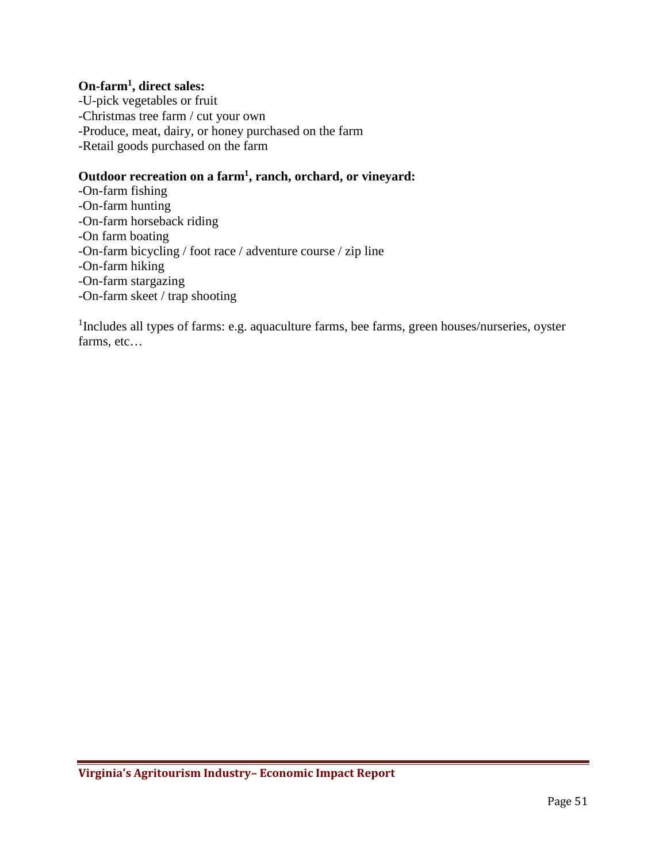#### **On-farm1, direct sales:**

-U-pick vegetables or fruit -Christmas tree farm / cut your own -Produce, meat, dairy, or honey purchased on the farm -Retail goods purchased on the farm

#### **Outdoor recreation on a farm1, ranch, orchard, or vineyard:**

-On-farm fishing -On-farm hunting -On-farm horseback riding -On farm boating -On-farm bicycling / foot race / adventure course / zip line -On-farm hiking -On-farm stargazing -On-farm skeet / trap shooting

<sup>1</sup>Includes all types of farms: e.g. aquaculture farms, bee farms, green houses/nurseries, oyster farms, etc…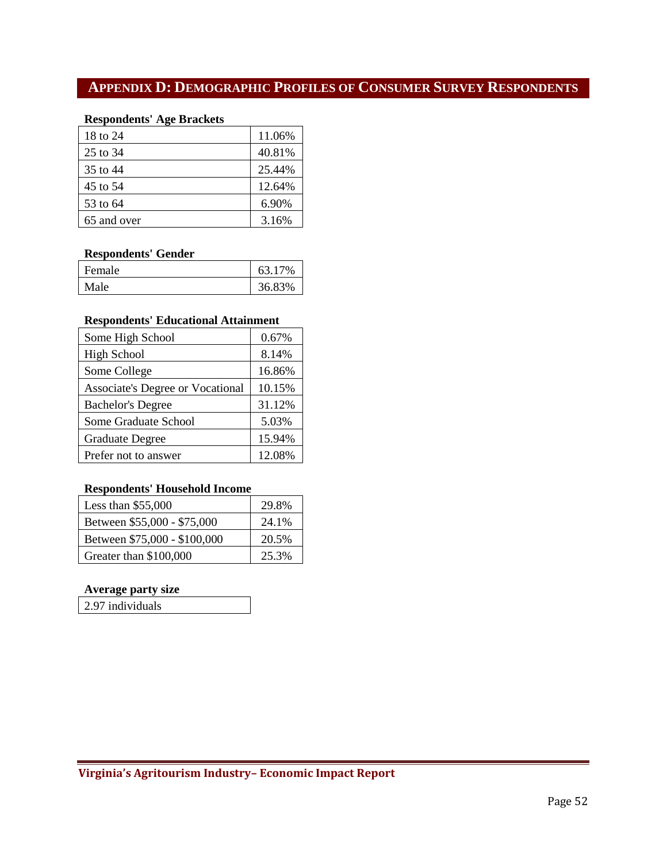## <span id="page-51-0"></span>**APPENDIX D: DEMOGRAPHIC PROFILES OF CONSUMER SURVEY RESPONDENTS**

#### **Respondents' Age Brackets**

| 18 to 24    | 11.06% |
|-------------|--------|
| 25 to 34    | 40.81% |
| 35 to 44    | 25.44% |
| 45 to 54    | 12.64% |
| 53 to 64    | 6.90%  |
| 65 and over | 3.16%  |

#### **Respondents' Gender**

| Female | 63.17% |
|--------|--------|
| Male   | 36.83% |

#### **Respondents' Educational Attainment**

| Some High School                        | 0.67%  |
|-----------------------------------------|--------|
| <b>High School</b>                      | 8.14%  |
| Some College                            | 16.86% |
| <b>Associate's Degree or Vocational</b> | 10.15% |
| <b>Bachelor's Degree</b>                | 31.12% |
| Some Graduate School                    | 5.03%  |
| <b>Graduate Degree</b>                  | 15.94% |
| Prefer not to answer                    | 12.08% |

#### **Respondents' Household Income**

| Less than $$55,000$          | 29.8% |
|------------------------------|-------|
| Between \$55,000 - \$75,000  | 24.1% |
| Between \$75,000 - \$100,000 | 20.5% |
| Greater than \$100,000       | 25.3% |

#### **Average party size**

2.97 individuals